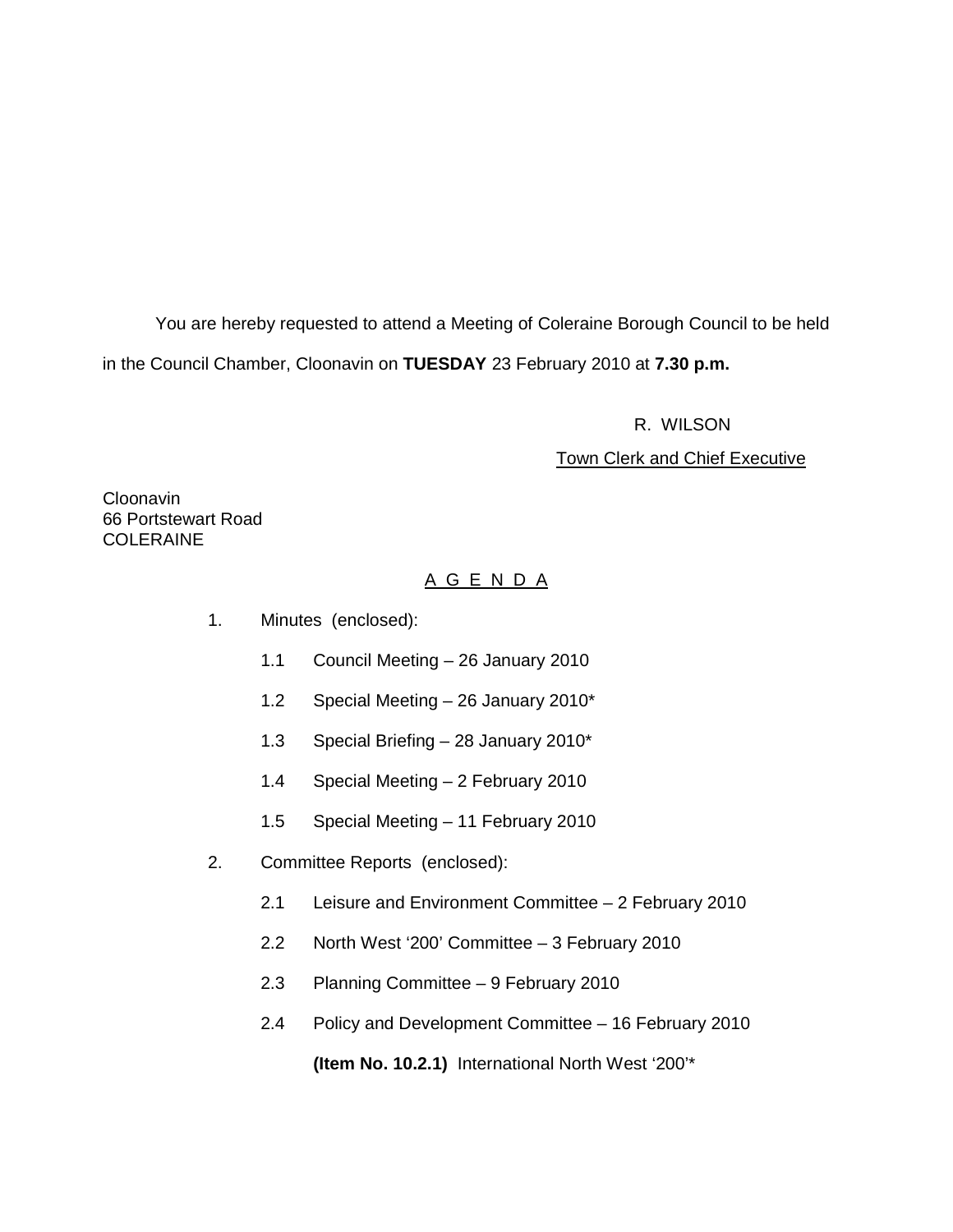You are hereby requested to attend a Meeting of Coleraine Borough Council to be held in the Council Chamber, Cloonavin on **TUESDAY** 23 February 2010 at **7.30 p.m.** 

R. WILSON

#### **Town Clerk and Chief Executive**

Cloonavin 66 Portstewart Road COLERAINE

# A G E N D A

- 1. Minutes (enclosed):
	- 1.1 Council Meeting 26 January 2010
	- 1.2 Special Meeting 26 January 2010\*
	- 1.3 Special Briefing 28 January 2010\*
	- 1.4 Special Meeting 2 February 2010
	- 1.5 Special Meeting 11 February 2010
- 2. Committee Reports (enclosed):
	- 2.1 Leisure and Environment Committee 2 February 2010
	- 2.2 North West '200' Committee 3 February 2010
	- 2.3 Planning Committee 9 February 2010
	- 2.4 Policy and Development Committee 16 February 2010

**(Item No. 10.2.1)** International North West '200'\*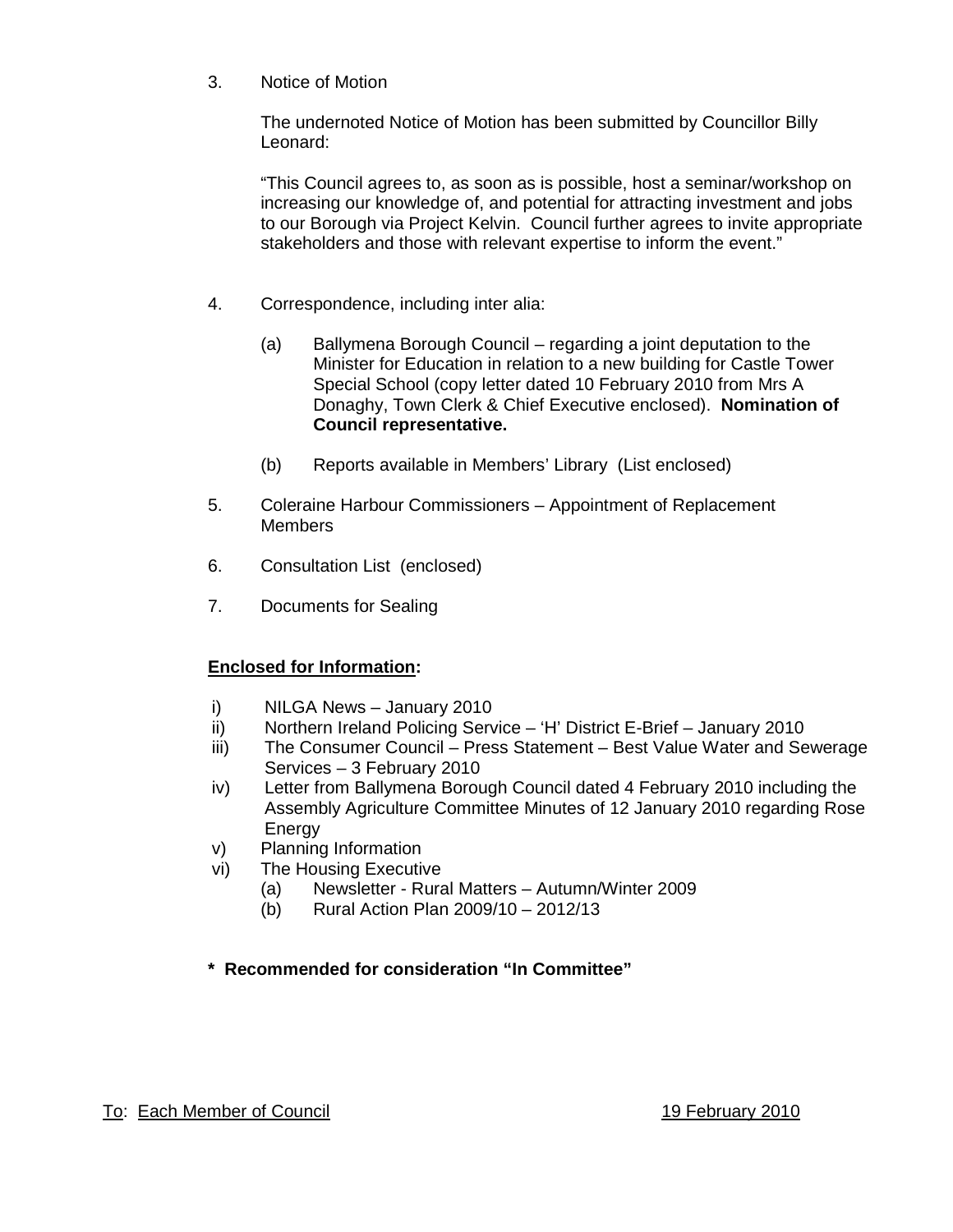3. Notice of Motion

The undernoted Notice of Motion has been submitted by Councillor Billy Leonard:

"This Council agrees to, as soon as is possible, host a seminar/workshop on increasing our knowledge of, and potential for attracting investment and jobs to our Borough via Project Kelvin. Council further agrees to invite appropriate stakeholders and those with relevant expertise to inform the event."

- 4. Correspondence, including inter alia:
	- (a) Ballymena Borough Council regarding a joint deputation to the Minister for Education in relation to a new building for Castle Tower Special School (copy letter dated 10 February 2010 from Mrs A Donaghy, Town Clerk & Chief Executive enclosed). **Nomination of Council representative.**
	- (b) Reports available in Members' Library (List enclosed)
- 5. Coleraine Harbour Commissioners Appointment of Replacement **Members**
- 6. Consultation List (enclosed)
- 7. Documents for Sealing

# **Enclosed for Information:**

- i) NILGA News January 2010
- ii) Northern Ireland Policing Service 'H' District E-Brief January 2010
- iii) The Consumer Council Press Statement Best Value Water and Sewerage Services – 3 February 2010
- iv) Letter from Ballymena Borough Council dated 4 February 2010 including the Assembly Agriculture Committee Minutes of 12 January 2010 regarding Rose Energy
- v) Planning Information
- vi) The Housing Executive
	- (a) Newsletter Rural Matters Autumn/Winter 2009
	- (b) Rural Action Plan 2009/10 2012/13

# **\* Recommended for consideration "In Committee"**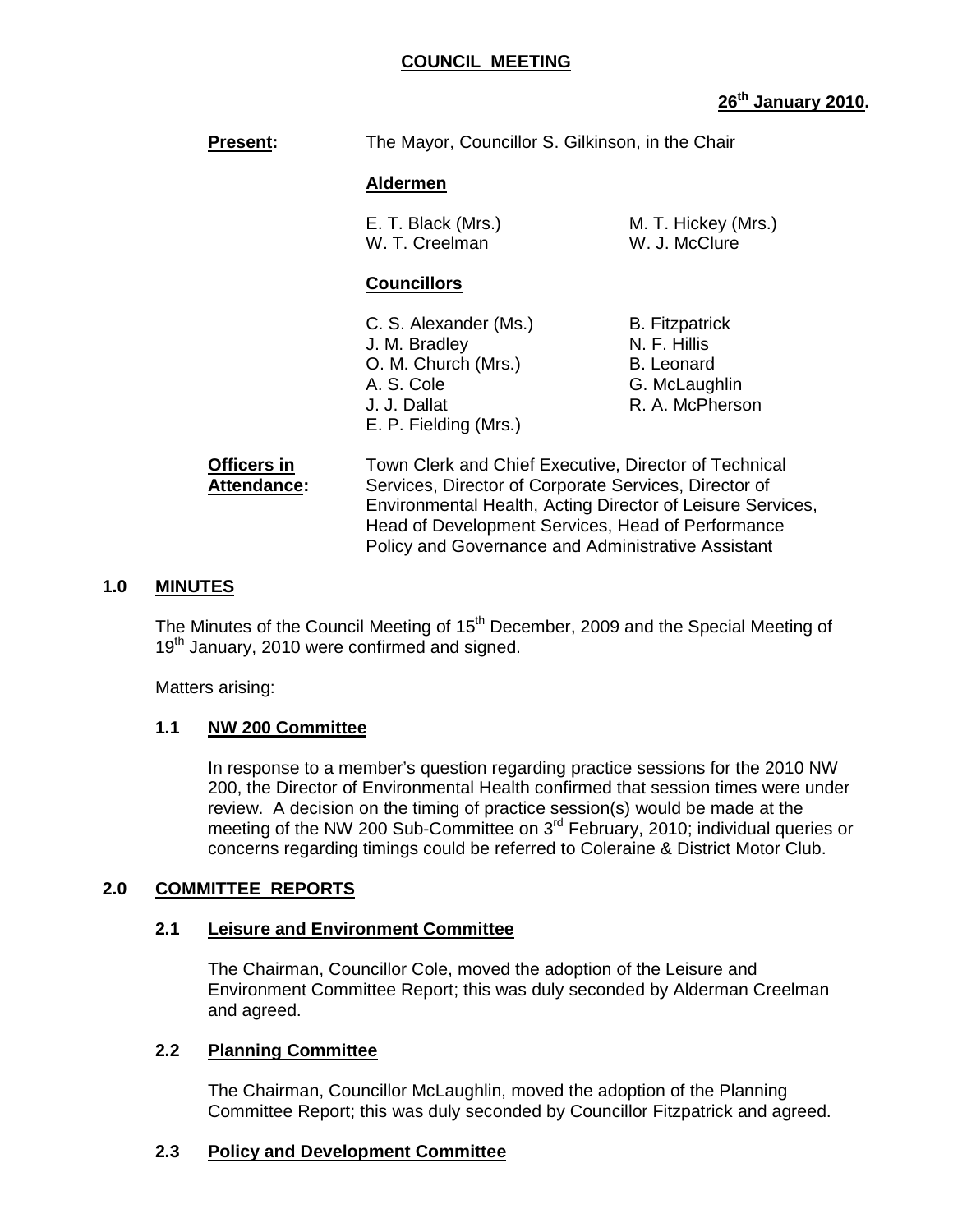#### **COUNCIL MEETING**

# **26th January 2010.**

**Present:** The Mayor, Councillor S. Gilkinson, in the Chair

#### **Aldermen**

E. T. Black (Mrs.) M. T. Hickey (Mrs.) W. T. Creelman W. J. McClure

#### **Councillors**

- C. S. Alexander (Ms.) B. Fitzpatrick J. M. Bradley N. F. Hillis O. M. Church (Mrs.) B. Leonard A. S. Cole G. McLaughlin J. J. Dallat R. A. McPherson E. P. Fielding (Mrs.)
	-

**Officers in Town Clerk and Chief Executive, Director of Technical** Attendance: Services, Director of Corporate Services, Director of Environmental Health, Acting Director of Leisure Services, Head of Development Services, Head of Performance Policy and Governance and Administrative Assistant

#### **1.0 MINUTES**

The Minutes of the Council Meeting of 15<sup>th</sup> December, 2009 and the Special Meeting of 19<sup>th</sup> January, 2010 were confirmed and signed.

Matters arising:

#### **1.1 NW 200 Committee**

In response to a member's question regarding practice sessions for the 2010 NW 200, the Director of Environmental Health confirmed that session times were under review. A decision on the timing of practice session(s) would be made at the meeting of the NW 200 Sub-Committee on 3<sup>rd</sup> February, 2010; individual queries or concerns regarding timings could be referred to Coleraine & District Motor Club.

#### **2.0 COMMITTEE REPORTS**

#### **2.1 Leisure and Environment Committee**

 The Chairman, Councillor Cole, moved the adoption of the Leisure and Environment Committee Report; this was duly seconded by Alderman Creelman and agreed.

#### **2.2 Planning Committee**

 The Chairman, Councillor McLaughlin, moved the adoption of the Planning Committee Report; this was duly seconded by Councillor Fitzpatrick and agreed.

#### **2.3 Policy and Development Committee**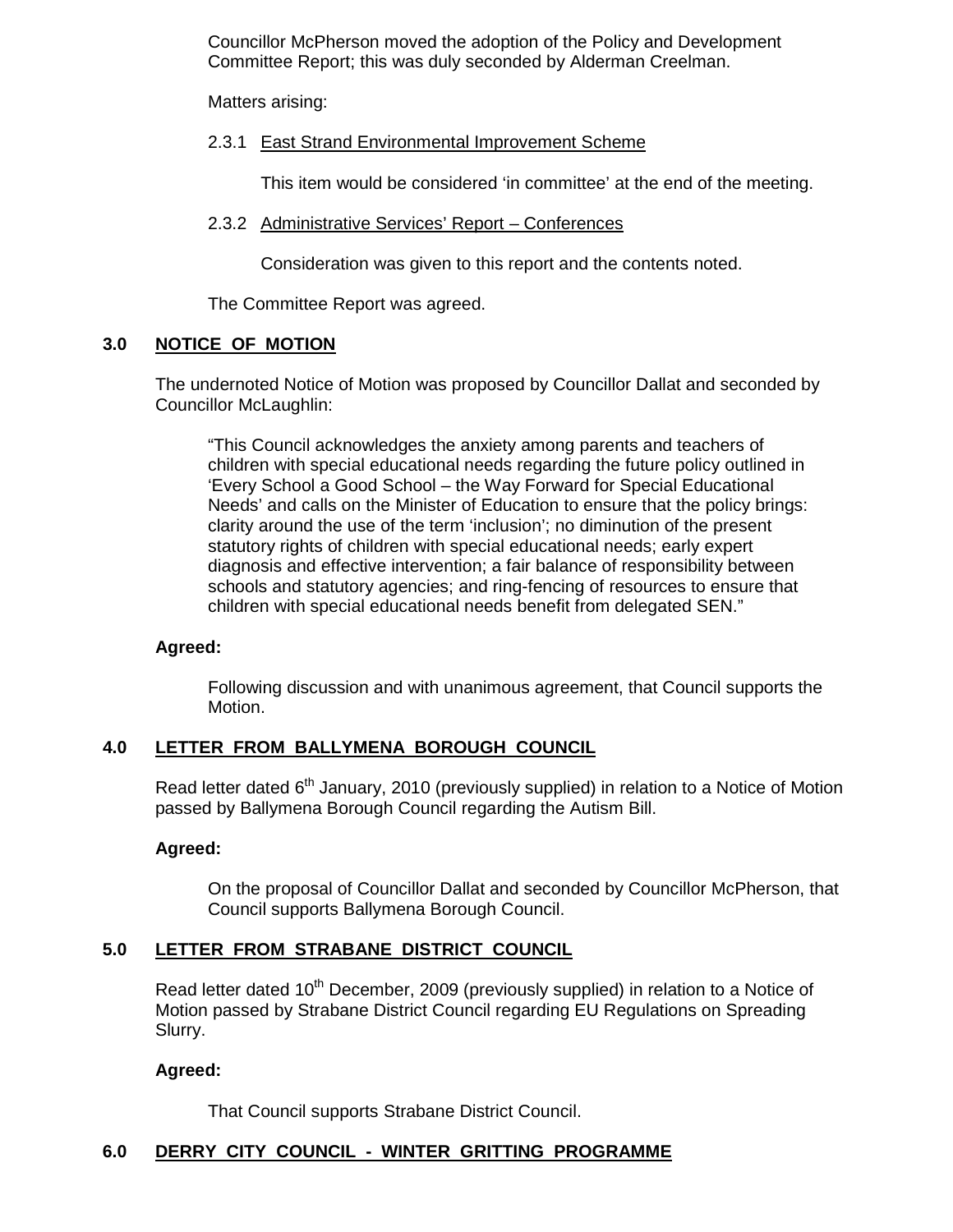Councillor McPherson moved the adoption of the Policy and Development Committee Report; this was duly seconded by Alderman Creelman.

Matters arising:

#### 2.3.1 East Strand Environmental Improvement Scheme

This item would be considered 'in committee' at the end of the meeting.

#### 2.3.2 Administrative Services' Report – Conferences

Consideration was given to this report and the contents noted.

The Committee Report was agreed.

#### **3.0 NOTICE OF MOTION**

The undernoted Notice of Motion was proposed by Councillor Dallat and seconded by Councillor McLaughlin:

"This Council acknowledges the anxiety among parents and teachers of children with special educational needs regarding the future policy outlined in 'Every School a Good School – the Way Forward for Special Educational Needs' and calls on the Minister of Education to ensure that the policy brings: clarity around the use of the term 'inclusion'; no diminution of the present statutory rights of children with special educational needs; early expert diagnosis and effective intervention; a fair balance of responsibility between schools and statutory agencies; and ring-fencing of resources to ensure that children with special educational needs benefit from delegated SEN."

#### **Agreed:**

Following discussion and with unanimous agreement, that Council supports the Motion.

#### **4.0 LETTER FROM BALLYMENA BOROUGH COUNCIL**

Read letter dated 6<sup>th</sup> January, 2010 (previously supplied) in relation to a Notice of Motion passed by Ballymena Borough Council regarding the Autism Bill.

#### **Agreed:**

On the proposal of Councillor Dallat and seconded by Councillor McPherson, that Council supports Ballymena Borough Council.

#### **5.0 LETTER FROM STRABANE DISTRICT COUNCIL**

Read letter dated 10<sup>th</sup> December, 2009 (previously supplied) in relation to a Notice of Motion passed by Strabane District Council regarding EU Regulations on Spreading Slurry.

#### **Agreed:**

That Council supports Strabane District Council.

#### **6.0 DERRY CITY COUNCIL - WINTER GRITTING PROGRAMME**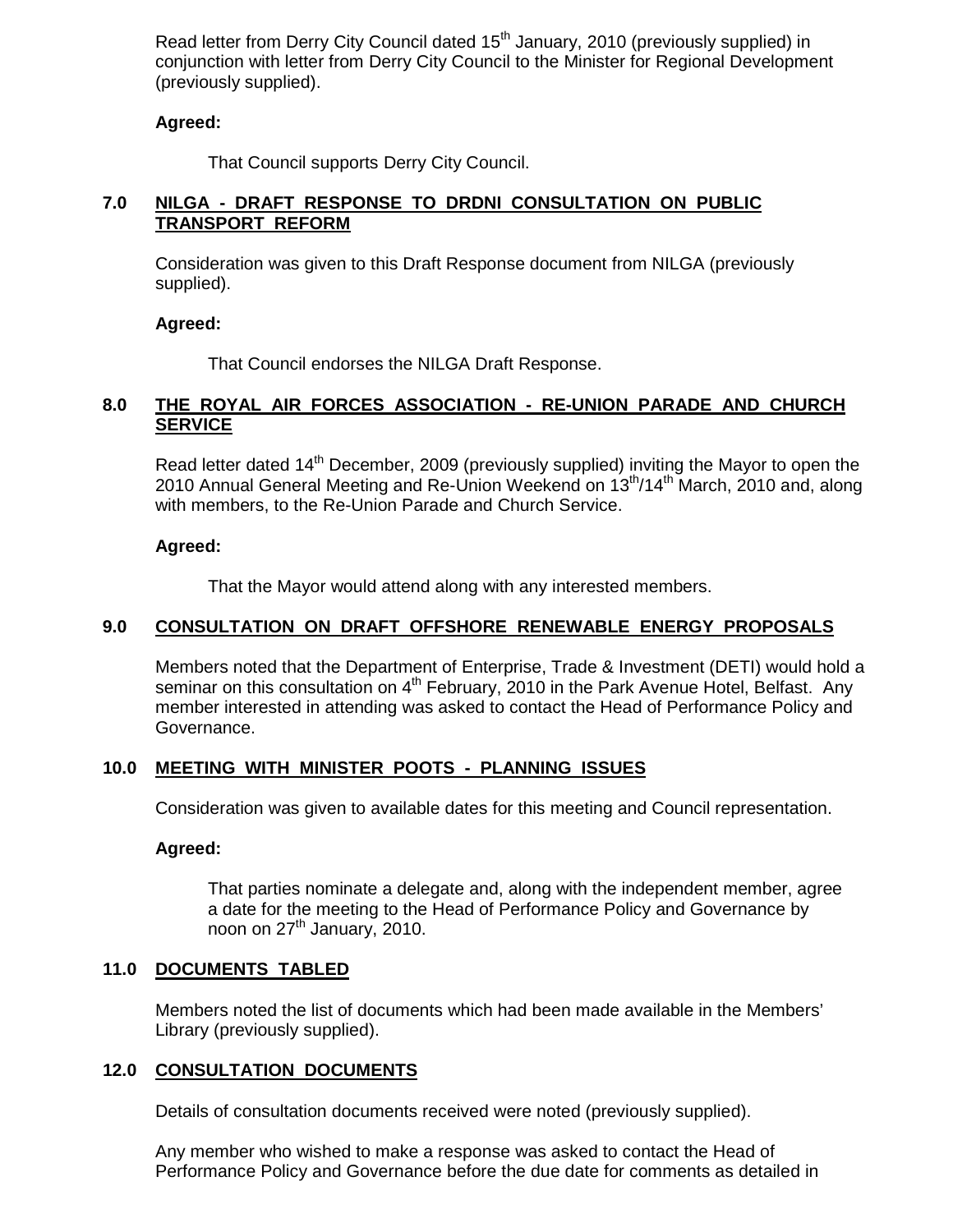Read letter from Derry City Council dated 15<sup>th</sup> January, 2010 (previously supplied) in conjunction with letter from Derry City Council to the Minister for Regional Development (previously supplied).

#### **Agreed:**

That Council supports Derry City Council.

#### **7.0 NILGA - DRAFT RESPONSE TO DRDNI CONSULTATION ON PUBLIC TRANSPORT REFORM**

Consideration was given to this Draft Response document from NILGA (previously supplied).

#### **Agreed:**

That Council endorses the NILGA Draft Response.

#### **8.0 THE ROYAL AIR FORCES ASSOCIATION - RE-UNION PARADE AND CHURCH SERVICE**

Read letter dated 14<sup>th</sup> December, 2009 (previously supplied) inviting the Mayor to open the 2010 Annual General Meeting and Re-Union Weekend on 13<sup>th</sup>/14<sup>th</sup> March, 2010 and, along with members, to the Re-Union Parade and Church Service.

#### **Agreed:**

That the Mayor would attend along with any interested members.

#### **9.0 CONSULTATION ON DRAFT OFFSHORE RENEWABLE ENERGY PROPOSALS**

Members noted that the Department of Enterprise, Trade & Investment (DETI) would hold a seminar on this consultation on 4<sup>th</sup> February, 2010 in the Park Avenue Hotel, Belfast. Any member interested in attending was asked to contact the Head of Performance Policy and Governance.

#### **10.0 MEETING WITH MINISTER POOTS - PLANNING ISSUES**

Consideration was given to available dates for this meeting and Council representation.

#### **Agreed:**

That parties nominate a delegate and, along with the independent member, agree a date for the meeting to the Head of Performance Policy and Governance by noon on  $27<sup>th</sup>$  January, 2010.

#### **11.0 DOCUMENTS TABLED**

Members noted the list of documents which had been made available in the Members' Library (previously supplied).

#### **12.0 CONSULTATION DOCUMENTS**

Details of consultation documents received were noted (previously supplied).

 Any member who wished to make a response was asked to contact the Head of Performance Policy and Governance before the due date for comments as detailed in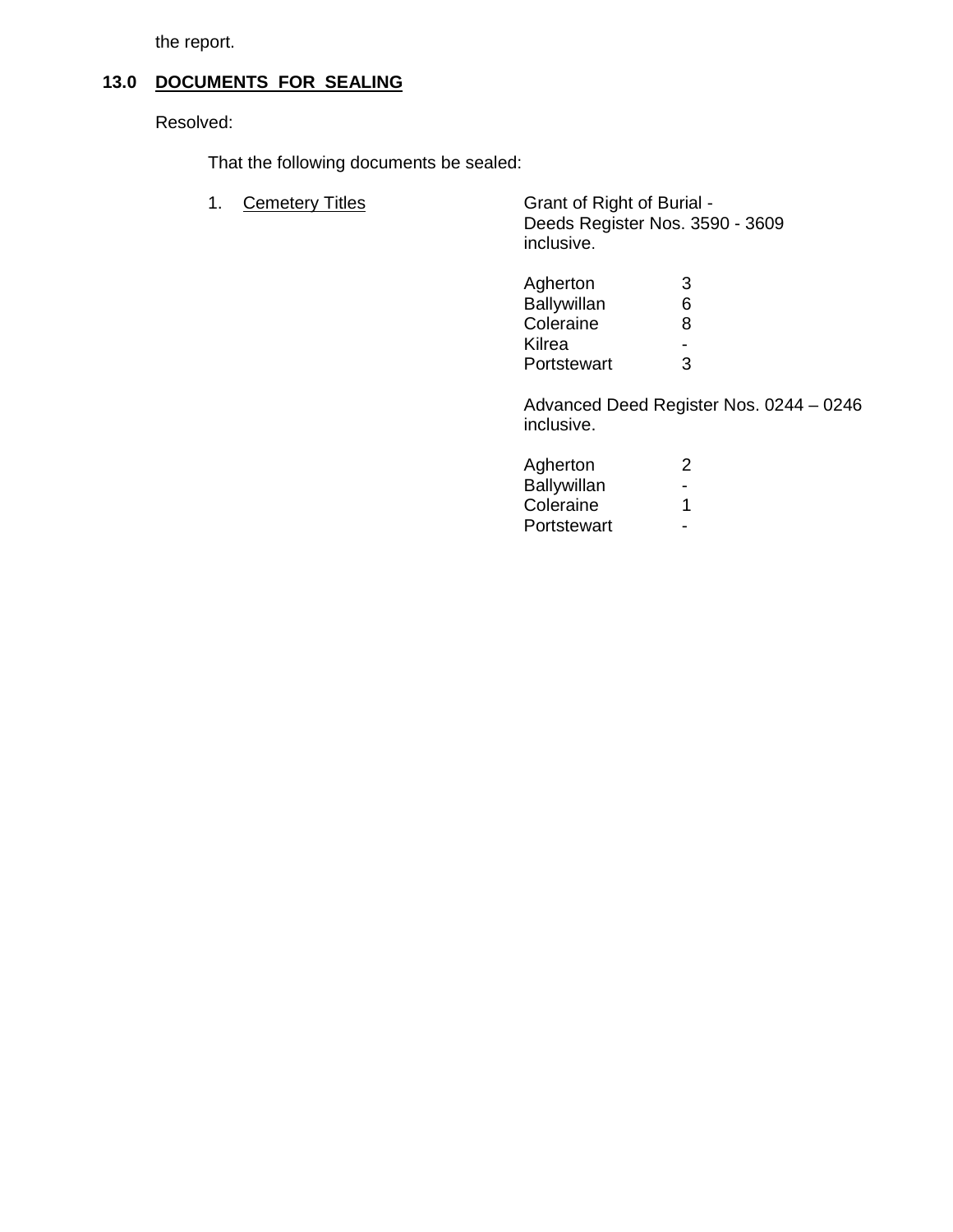the report.

# **13.0 DOCUMENTS FOR SEALING**

Resolved:

That the following documents be sealed:

1. Cemetery Titles Grant of Right of Burial - Deeds Register Nos. 3590 - 3609 inclusive.

| Agherton    |   |
|-------------|---|
| Ballywillan | 6 |
| Coleraine   | 8 |
| Kilrea      | - |
| Portstewart | 2 |

 Advanced Deed Register Nos. 0244 – 0246 inclusive.

| Agherton    |        |
|-------------|--------|
| Ballywillan | $\sim$ |
| Coleraine   |        |
| Portstewart | $\sim$ |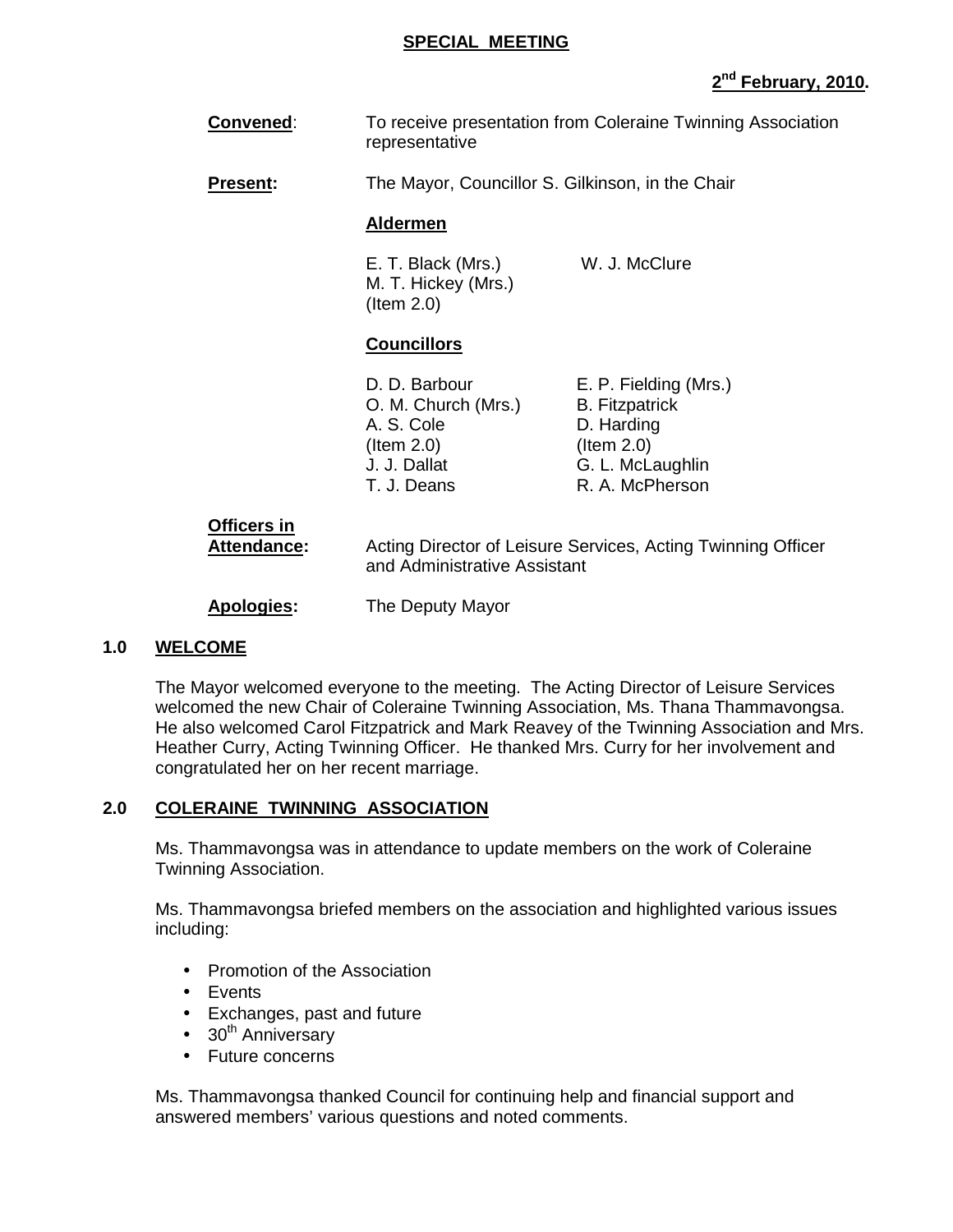#### **SPECIAL MEETING**

# **2 nd February, 2010.**

- **Convened:** To receive presentation from Coleraine Twinning Association representative
- **Present:** The Mayor, Councillor S. Gilkinson, in the Chair

#### **Aldermen**

E. T. Black (Mrs.) W. J. McClure M. T. Hickey (Mrs.) (Item 2.0)

#### **Councillors**

| D. D. Barbour       | E. P. Fielding (Mrs.) |
|---------------------|-----------------------|
| O. M. Church (Mrs.) | <b>B.</b> Fitzpatrick |
| A. S. Cole          | D. Harding            |
| $($ ltem 2.0)       | $($ ltem 2.0)         |
| J. J. Dallat        | G. L. McLaughlin      |
| T. J. Deans         | R. A. McPherson       |
|                     |                       |

# **Officers in**

**Attendance:** Acting Director of Leisure Services, Acting Twinning Officer and Administrative Assistant

#### **Apologies:** The Deputy Mayor

#### **1.0 WELCOME**

The Mayor welcomed everyone to the meeting. The Acting Director of Leisure Services welcomed the new Chair of Coleraine Twinning Association, Ms. Thana Thammavongsa. He also welcomed Carol Fitzpatrick and Mark Reavey of the Twinning Association and Mrs. Heather Curry, Acting Twinning Officer. He thanked Mrs. Curry for her involvement and congratulated her on her recent marriage.

#### **2.0 COLERAINE TWINNING ASSOCIATION**

Ms. Thammavongsa was in attendance to update members on the work of Coleraine Twinning Association.

 Ms. Thammavongsa briefed members on the association and highlighted various issues including:

- Promotion of the Association
- Events
- Exchanges, past and future
- $\bullet$  30<sup>th</sup> Anniversary
- Future concerns

Ms. Thammavongsa thanked Council for continuing help and financial support and answered members' various questions and noted comments.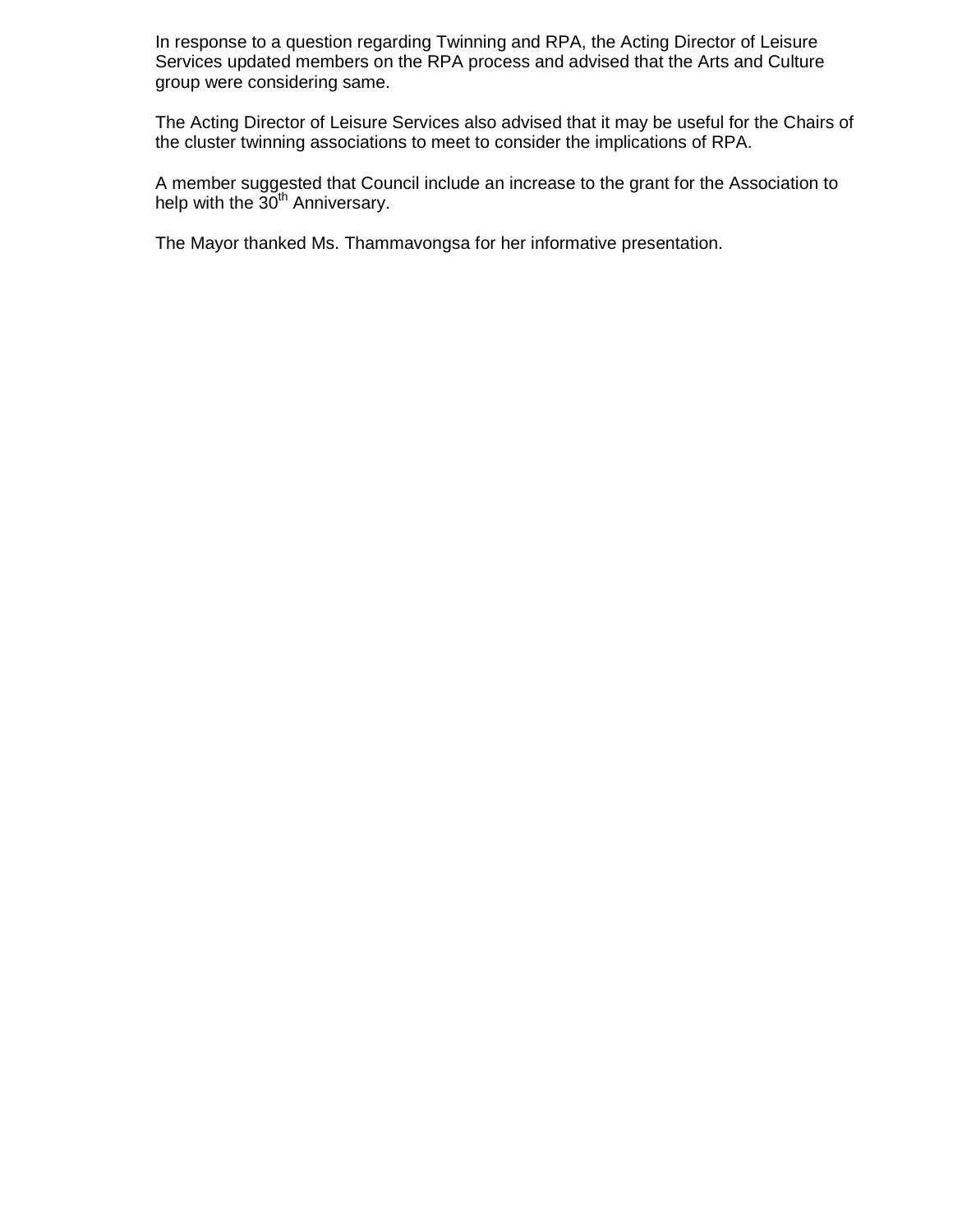In response to a question regarding Twinning and RPA, the Acting Director of Leisure Services updated members on the RPA process and advised that the Arts and Culture group were considering same.

The Acting Director of Leisure Services also advised that it may be useful for the Chairs of the cluster twinning associations to meet to consider the implications of RPA.

A member suggested that Council include an increase to the grant for the Association to help with the 30<sup>th</sup> Anniversary.

The Mayor thanked Ms. Thammavongsa for her informative presentation.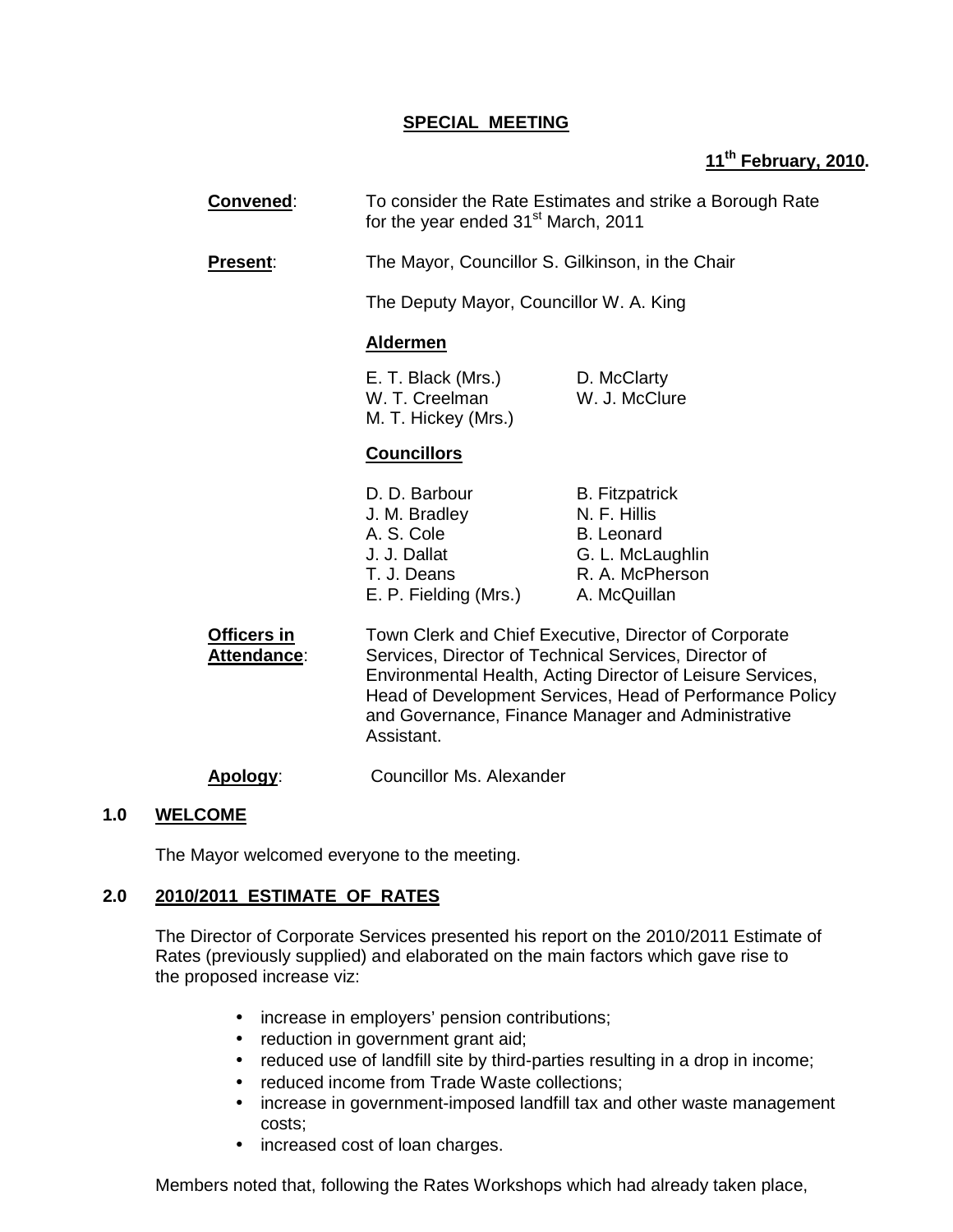#### **SPECIAL MEETING**

# **11th February, 2010.**

| <b>Convened:</b>                  | To consider the Rate Estimates and strike a Borough Rate<br>for the year ended 31 <sup>st</sup> March, 2011                                                                                                                                                                                                  |                                                                                                                   |  |
|-----------------------------------|--------------------------------------------------------------------------------------------------------------------------------------------------------------------------------------------------------------------------------------------------------------------------------------------------------------|-------------------------------------------------------------------------------------------------------------------|--|
| Present:                          | The Mayor, Councillor S. Gilkinson, in the Chair                                                                                                                                                                                                                                                             |                                                                                                                   |  |
|                                   | The Deputy Mayor, Councillor W. A. King                                                                                                                                                                                                                                                                      |                                                                                                                   |  |
|                                   | <b>Aldermen</b>                                                                                                                                                                                                                                                                                              |                                                                                                                   |  |
|                                   | E. T. Black (Mrs.)<br>W. T. Creelman<br>M. T. Hickey (Mrs.)                                                                                                                                                                                                                                                  | D. McClarty<br>W. J. McClure                                                                                      |  |
|                                   | <b>Councillors</b>                                                                                                                                                                                                                                                                                           |                                                                                                                   |  |
|                                   | D. D. Barbour<br>J. M. Bradley<br>A. S. Cole<br>J. J. Dallat<br>T. J. Deans<br>E. P. Fielding (Mrs.)                                                                                                                                                                                                         | <b>B.</b> Fitzpatrick<br>N. F. Hillis<br><b>B.</b> Leonard<br>G. L. McLaughlin<br>R. A. McPherson<br>A. McQuillan |  |
| <b>Officers in</b><br>Attendance: | Town Clerk and Chief Executive, Director of Corporate<br>Services, Director of Technical Services, Director of<br>Environmental Health, Acting Director of Leisure Services,<br>Head of Development Services, Head of Performance Policy<br>and Governance, Finance Manager and Administrative<br>Assistant. |                                                                                                                   |  |

**Apology**: Councillor Ms. Alexander

#### **1.0 WELCOME**

The Mayor welcomed everyone to the meeting.

#### **2.0 2010/2011 ESTIMATE OF RATES**

 The Director of Corporate Services presented his report on the 2010/2011 Estimate of Rates (previously supplied) and elaborated on the main factors which gave rise to the proposed increase viz:

- increase in employers' pension contributions;
- reduction in government grant aid;
- reduced use of landfill site by third-parties resulting in a drop in income;
- reduced income from Trade Waste collections;
- increase in government-imposed landfill tax and other waste management costs;
- increased cost of loan charges.

Members noted that, following the Rates Workshops which had already taken place,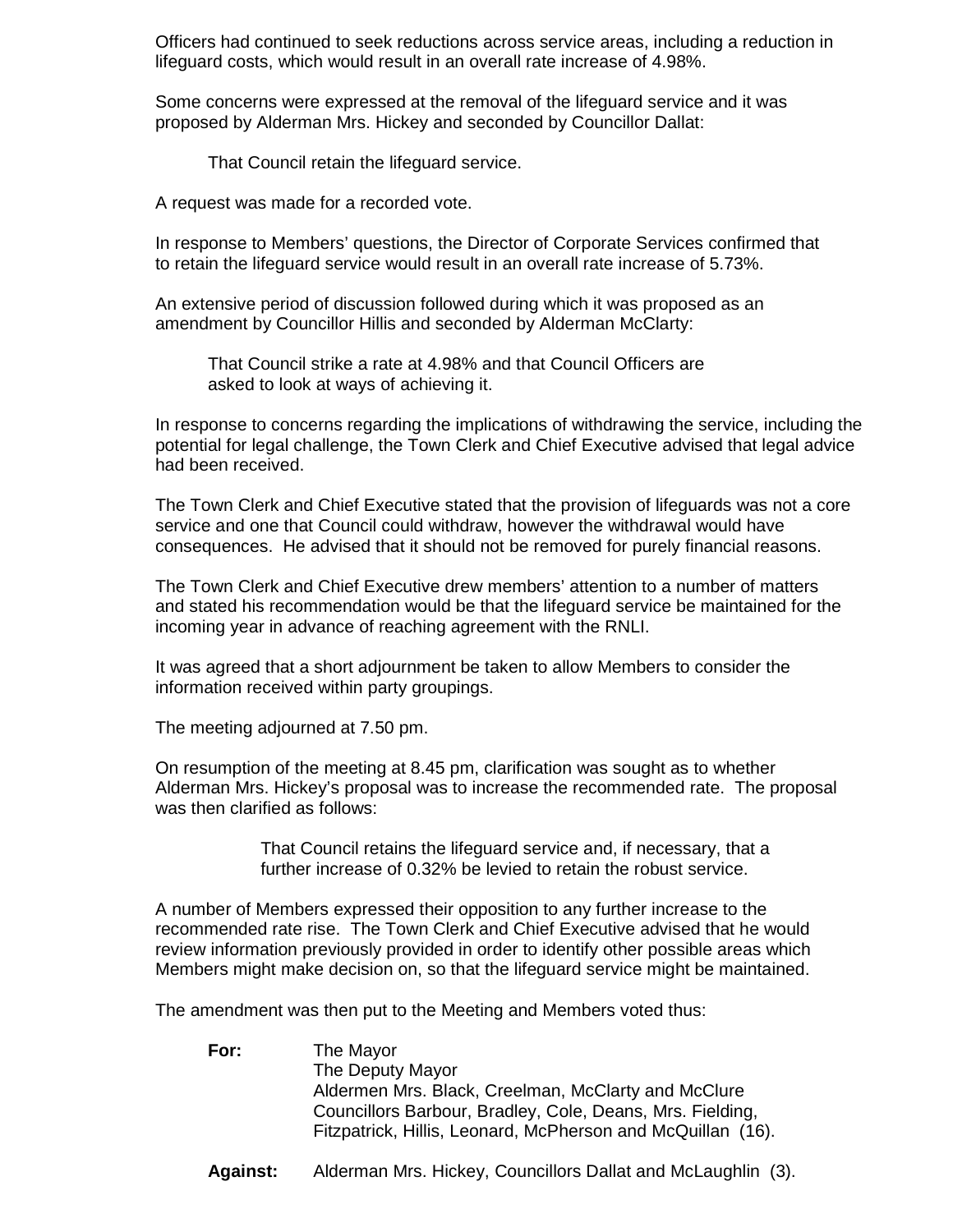Officers had continued to seek reductions across service areas, including a reduction in lifeguard costs, which would result in an overall rate increase of 4.98%.

Some concerns were expressed at the removal of the lifeguard service and it was proposed by Alderman Mrs. Hickey and seconded by Councillor Dallat:

That Council retain the lifeguard service.

A request was made for a recorded vote.

In response to Members' questions, the Director of Corporate Services confirmed that to retain the lifeguard service would result in an overall rate increase of 5.73%.

An extensive period of discussion followed during which it was proposed as an amendment by Councillor Hillis and seconded by Alderman McClarty:

That Council strike a rate at 4.98% and that Council Officers are asked to look at ways of achieving it.

In response to concerns regarding the implications of withdrawing the service, including the potential for legal challenge, the Town Clerk and Chief Executive advised that legal advice had been received.

The Town Clerk and Chief Executive stated that the provision of lifeguards was not a core service and one that Council could withdraw, however the withdrawal would have consequences. He advised that it should not be removed for purely financial reasons.

 The Town Clerk and Chief Executive drew members' attention to a number of matters and stated his recommendation would be that the lifeguard service be maintained for the incoming year in advance of reaching agreement with the RNLI.

It was agreed that a short adjournment be taken to allow Members to consider the information received within party groupings.

The meeting adjourned at 7.50 pm.

On resumption of the meeting at 8.45 pm, clarification was sought as to whether Alderman Mrs. Hickey's proposal was to increase the recommended rate. The proposal was then clarified as follows:

> That Council retains the lifeguard service and, if necessary, that a further increase of 0.32% be levied to retain the robust service.

 A number of Members expressed their opposition to any further increase to the recommended rate rise. The Town Clerk and Chief Executive advised that he would review information previously provided in order to identify other possible areas which Members might make decision on, so that the lifeguard service might be maintained.

The amendment was then put to the Meeting and Members voted thus:

**For:** The Mayor The Deputy Mayor Aldermen Mrs. Black, Creelman, McClarty and McClure Councillors Barbour, Bradley, Cole, Deans, Mrs. Fielding, Fitzpatrick, Hillis, Leonard, McPherson and McQuillan (16).

**Against:** Alderman Mrs. Hickey, Councillors Dallat and McLaughlin (3).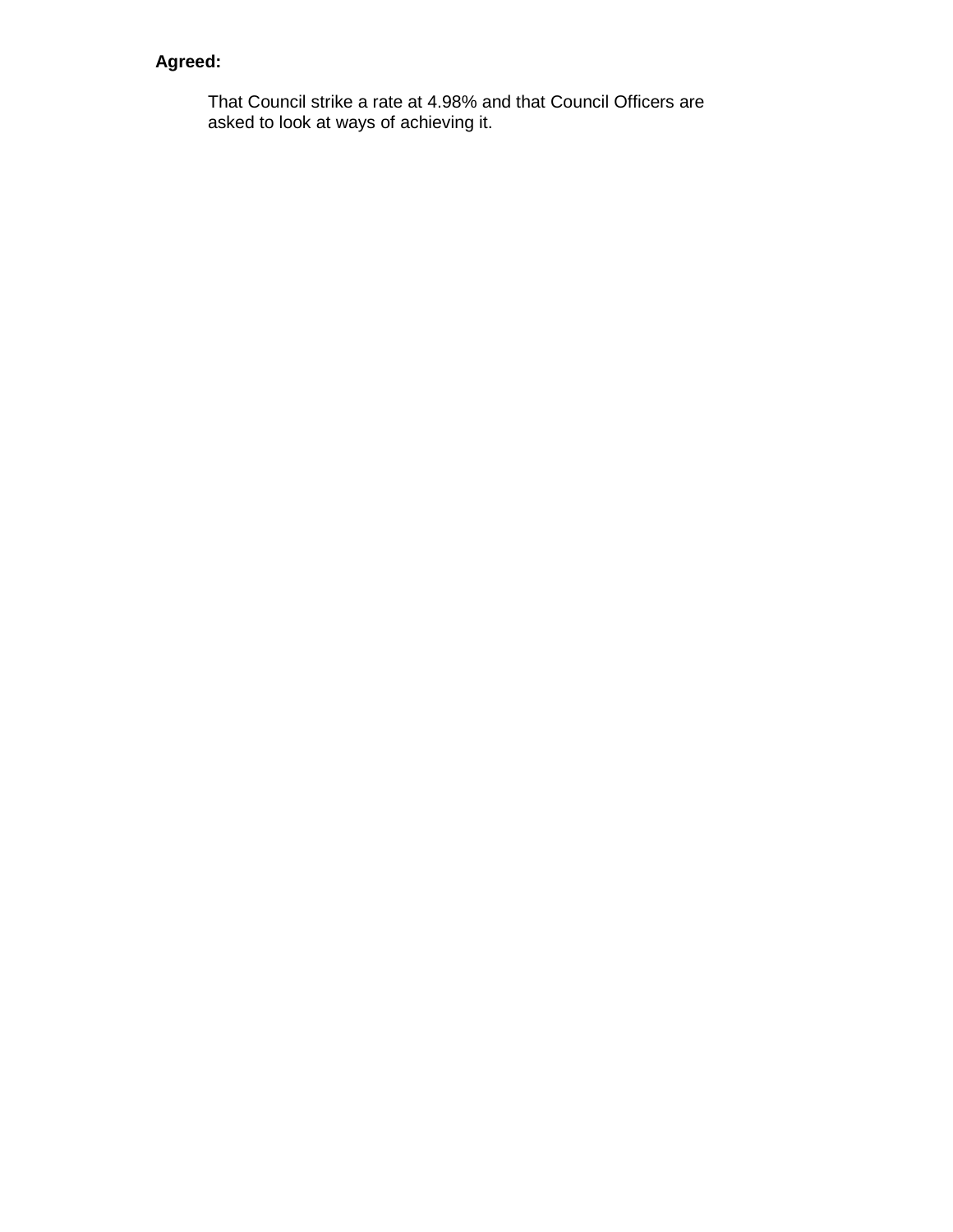# **Agreed:**

That Council strike a rate at 4.98% and that Council Officers are asked to look at ways of achieving it.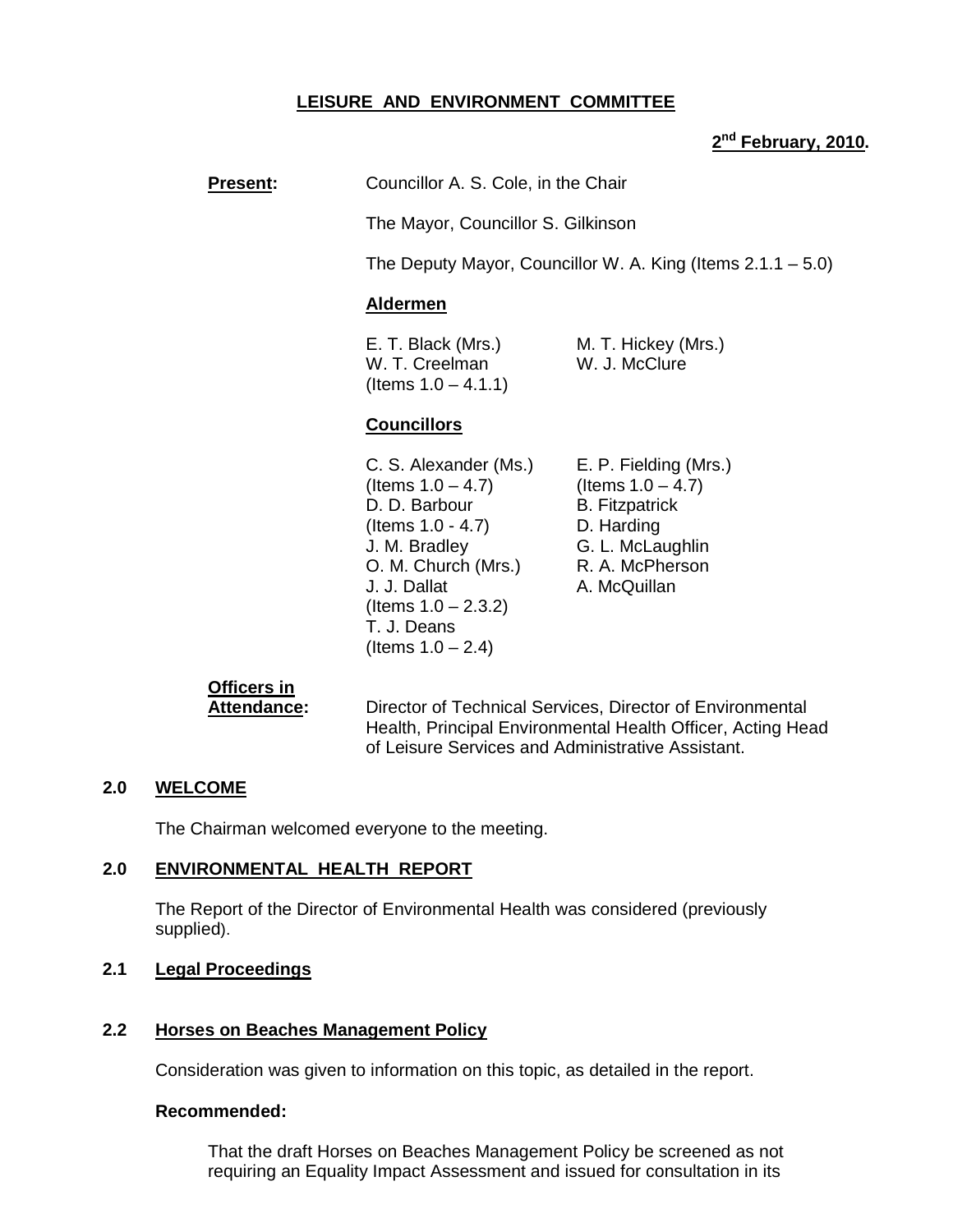# **LEISURE AND ENVIRONMENT COMMITTEE**

### **2 nd February, 2010.**

**Present:** Councillor A. S. Cole, in the Chair

The Mayor, Councillor S. Gilkinson

The Deputy Mayor, Councillor W. A. King (Items 2.1.1 – 5.0)

#### **Aldermen**

E. T. Black (Mrs.) M. T. Hickey (Mrs.) W. T. Creelman W. J. McClure  $($ ltems  $1.0 - 4.1.1)$ 

# **Councillors**

- C. S. Alexander (Ms.) E. P. Fielding (Mrs.)  $($ ltems  $1.0 - 4.7)$  (Items  $1.0 - 4.7)$ D. D. Barbour B. Fitzpatrick (Items 1.0 - 4.7) D. Harding J. M. Bradley G. L. McLaughlin O. M. Church (Mrs.) R. A. McPherson J. J. Dallat A. McQuillan (Items  $1.0 - 2.3.2$ ) T. J. Deans (Items  $1.0 - 2.4$ )
	-

# **Officers in**

**Attendance:** Director of Technical Services, Director of Environmental Health, Principal Environmental Health Officer, Acting Head of Leisure Services and Administrative Assistant.

#### **2.0 WELCOME**

The Chairman welcomed everyone to the meeting.

#### **2.0 ENVIRONMENTAL HEALTH REPORT**

 The Report of the Director of Environmental Health was considered (previously supplied).

### **2.1 Legal Proceedings**

#### **2.2 Horses on Beaches Management Policy**

Consideration was given to information on this topic, as detailed in the report.

#### **Recommended:**

 That the draft Horses on Beaches Management Policy be screened as not requiring an Equality Impact Assessment and issued for consultation in its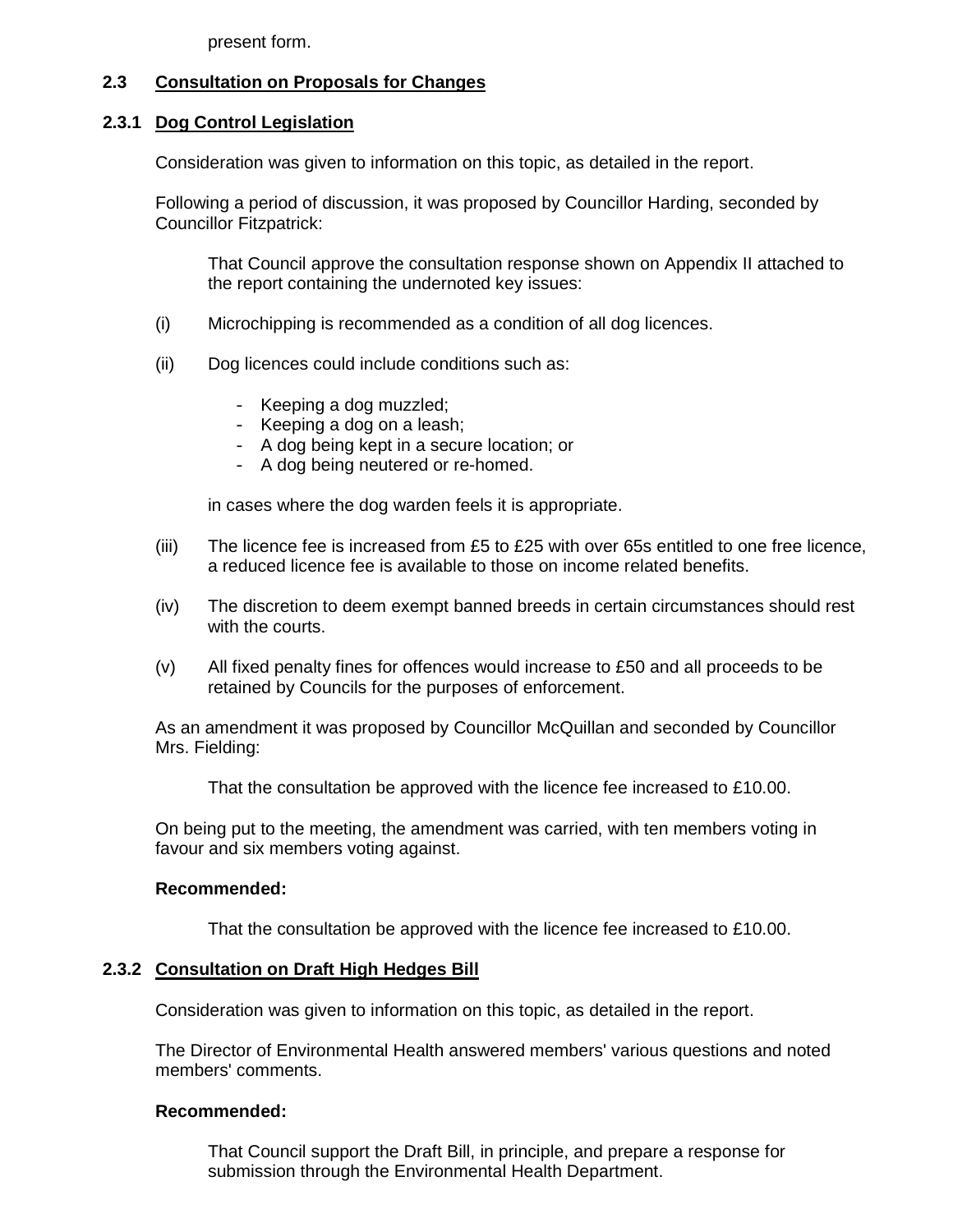present form.

# **2.3 Consultation on Proposals for Changes**

#### **2.3.1 Dog Control Legislation**

Consideration was given to information on this topic, as detailed in the report.

 Following a period of discussion, it was proposed by Councillor Harding, seconded by Councillor Fitzpatrick:

 That Council approve the consultation response shown on Appendix II attached to the report containing the undernoted key issues:

- (i) Microchipping is recommended as a condition of all dog licences.
- (ii) Dog licences could include conditions such as:
	- Keeping a dog muzzled;
	- Keeping a dog on a leash;
	- A dog being kept in a secure location; or
	- A dog being neutered or re-homed.

in cases where the dog warden feels it is appropriate.

- (iii) The licence fee is increased from £5 to  $E25$  with over 65s entitled to one free licence, a reduced licence fee is available to those on income related benefits.
- (iv) The discretion to deem exempt banned breeds in certain circumstances should rest with the courts.
- (v) All fixed penalty fines for offences would increase to £50 and all proceeds to be retained by Councils for the purposes of enforcement.

 As an amendment it was proposed by Councillor McQuillan and seconded by Councillor Mrs. Fielding:

That the consultation be approved with the licence fee increased to £10.00.

 On being put to the meeting, the amendment was carried, with ten members voting in favour and six members voting against.

#### **Recommended:**

That the consultation be approved with the licence fee increased to £10.00.

#### **2.3.2 Consultation on Draft High Hedges Bill**

Consideration was given to information on this topic, as detailed in the report.

 The Director of Environmental Health answered members' various questions and noted members' comments.

#### **Recommended:**

 That Council support the Draft Bill, in principle, and prepare a response for submission through the Environmental Health Department.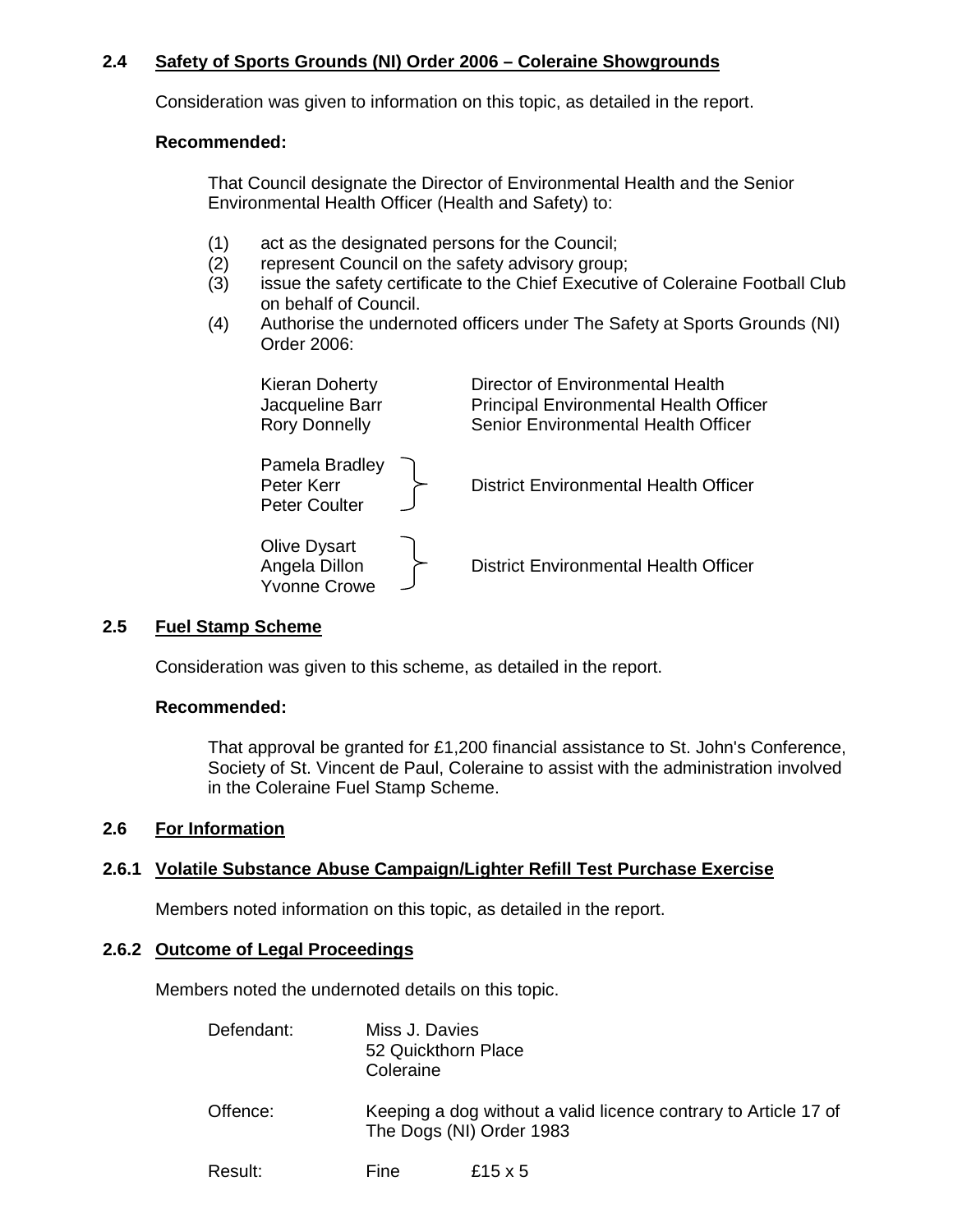# **2.4 Safety of Sports Grounds (NI) Order 2006 – Coleraine Showgrounds**

Consideration was given to information on this topic, as detailed in the report.

#### **Recommended:**

 That Council designate the Director of Environmental Health and the Senior Environmental Health Officer (Health and Safety) to:

- (1) act as the designated persons for the Council;
- (2) represent Council on the safety advisory group;
- (3) issue the safety certificate to the Chief Executive of Coleraine Football Club on behalf of Council.
- (4) Authorise the undernoted officers under The Safety at Sports Grounds (NI) Order 2006:

| <b>Kieran Doherty</b><br>Jacqueline Barr<br><b>Rory Donnelly</b> | Director of Environmental Health<br><b>Principal Environmental Health Officer</b><br>Senior Environmental Health Officer |
|------------------------------------------------------------------|--------------------------------------------------------------------------------------------------------------------------|
| Pamela Bradley<br>Peter Kerr<br><b>Peter Coulter</b>             | <b>District Environmental Health Officer</b>                                                                             |
| <b>Olive Dysart</b><br>Angela Dillon<br><b>Yvonne Crowe</b>      | <b>District Environmental Health Officer</b>                                                                             |

#### **2.5 Fuel Stamp Scheme**

Consideration was given to this scheme, as detailed in the report.

#### **Recommended:**

That approval be granted for £1,200 financial assistance to St. John's Conference, Society of St. Vincent de Paul, Coleraine to assist with the administration involved in the Coleraine Fuel Stamp Scheme.

#### **2.6 For Information**

#### **2.6.1 Volatile Substance Abuse Campaign/Lighter Refill Test Purchase Exercise**

Members noted information on this topic, as detailed in the report.

#### **2.6.2 Outcome of Legal Proceedings**

Members noted the undernoted details on this topic.

| Defendant: | Miss J. Davies<br>52 Quickthorn Place<br>Coleraine |                                                                                             |
|------------|----------------------------------------------------|---------------------------------------------------------------------------------------------|
| Offence:   |                                                    | Keeping a dog without a valid licence contrary to Article 17 of<br>The Dogs (NI) Order 1983 |
| Result:    | Fine                                               | £15 $\times$ 5                                                                              |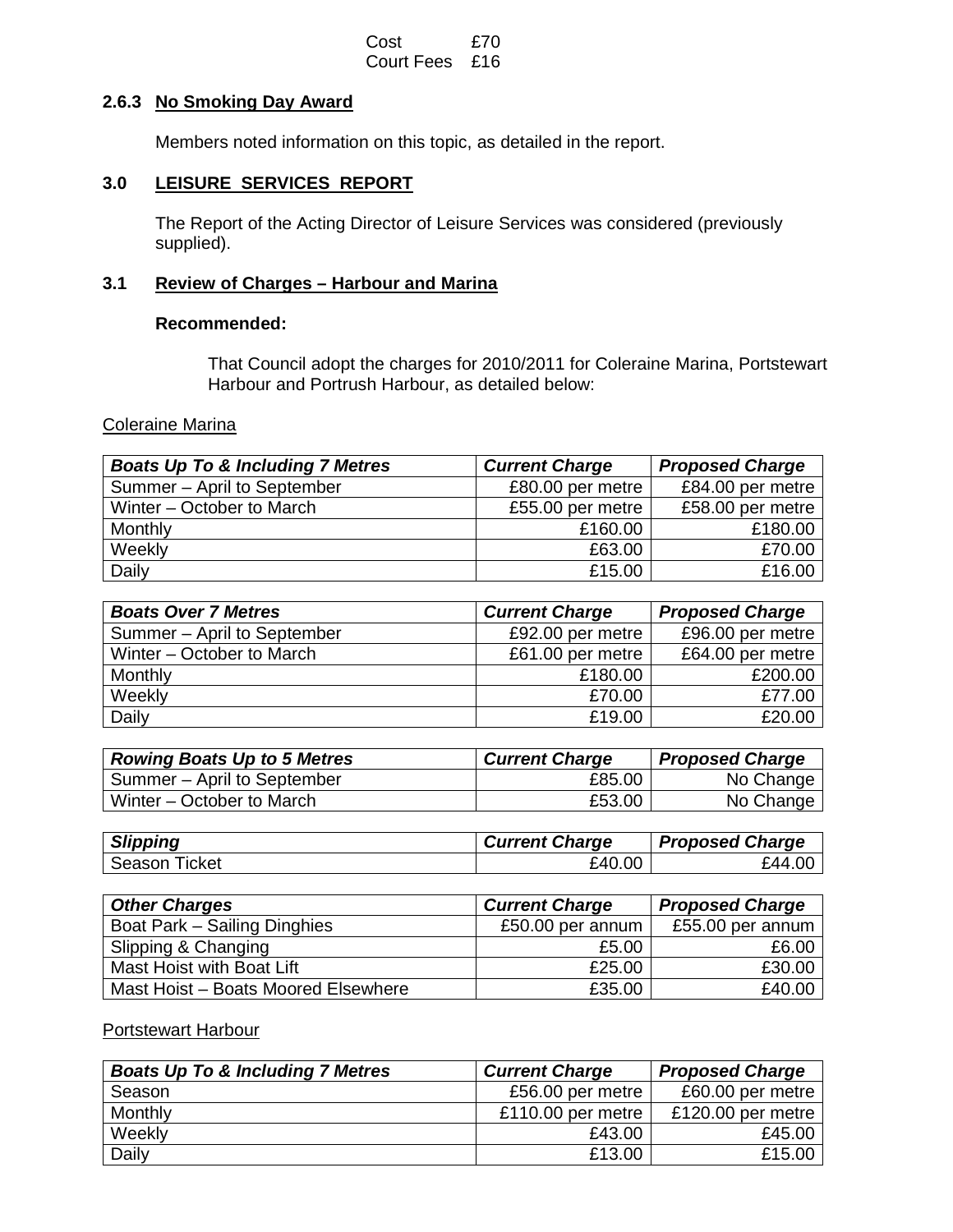#### Cost £70 Court Fees £16

#### **2.6.3 No Smoking Day Award**

Members noted information on this topic, as detailed in the report.

#### **3.0 LEISURE SERVICES REPORT**

 The Report of the Acting Director of Leisure Services was considered (previously supplied).

# **3.1 Review of Charges – Harbour and Marina**

#### **Recommended:**

 That Council adopt the charges for 2010/2011 for Coleraine Marina, Portstewart Harbour and Portrush Harbour, as detailed below:

#### Coleraine Marina

| <b>Boats Up To &amp; Including 7 Metres</b> | <b>Current Charge</b> | <b>Proposed Charge</b> |
|---------------------------------------------|-----------------------|------------------------|
| Summer - April to September                 | £80.00 per metre      | £84.00 per metre       |
| Winter – October to March                   | £55.00 per metre      | £58.00 per metre       |
| Monthly                                     | £160.00               | £180.00                |
| Weekly                                      | £63.00                | £70.00                 |
| Daily                                       | £15.00                | £16.00                 |

| <b>Boats Over 7 Metres</b>  | <b>Current Charge</b> | <b>Proposed Charge</b> |
|-----------------------------|-----------------------|------------------------|
| Summer - April to September | £92.00 per metre      | £96.00 per metre       |
| Winter – October to March   | £61.00 per metre      | £64.00 per metre       |
| Monthly                     | £180.00               | £200.00                |
| Weekly                      | £70.00                | £77.00                 |
| Daily                       | £19.00                | £20.00                 |

| <b>Rowing Boats Up to 5 Metres</b> | <b>Current Charge</b> | <b>Proposed Charge</b> |
|------------------------------------|-----------------------|------------------------|
| Summer – April to September        | £85.00                | No Change              |
| Winter – October to March          | £53.00                | No Change              |

| <b>Slipping</b>  | <b>Current Charge</b> | <b>Proposed Charge</b> |
|------------------|-----------------------|------------------------|
| Season<br>Ticket | £40.00                | £44.00                 |

| <b>Other Charges</b>                | <b>Current Charge</b> | <b>Proposed Charge</b> |
|-------------------------------------|-----------------------|------------------------|
| Boat Park - Sailing Dinghies        | £50.00 per annum      | £55.00 per annum       |
| Slipping & Changing                 | £5.00                 | £6.00                  |
| Mast Hoist with Boat Lift           | £25.00                | £30.00                 |
| Mast Hoist - Boats Moored Elsewhere | £35.00                | £40.00 $ $             |

# Portstewart Harbour

| <b>Boats Up To &amp; Including 7 Metres</b> | <b>Current Charge</b> | <b>Proposed Charge</b> |
|---------------------------------------------|-----------------------|------------------------|
| Season                                      | £56.00 per metre      | £60.00 per metre       |
| Monthly                                     | £110.00 per metre     | £120.00 per metre      |
| Weekly                                      | £43.00                | £45.00                 |
| Daily                                       | £13.00                | £15.00                 |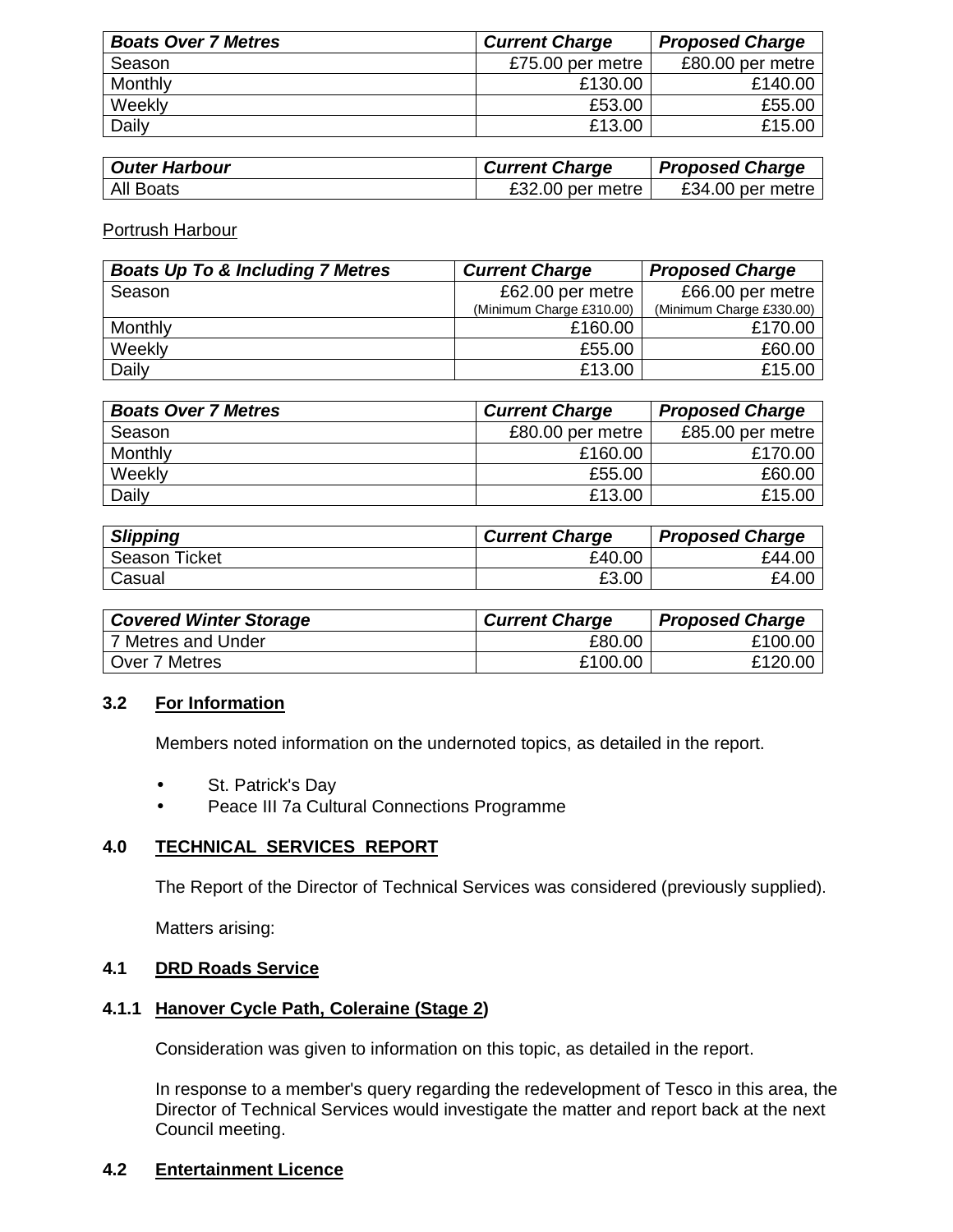| <b>Boats Over 7 Metres</b> | <b>Current Charge</b> | <b>Proposed Charge</b> |
|----------------------------|-----------------------|------------------------|
| Season                     | £75.00 per metre      | £80.00 per metre       |
| Monthly                    | £130.00               | £140.00                |
| Weekly                     | £53.00                | £55.00                 |
| Daily                      | £13.00                | £15.00                 |

| <b>Outer Harbour</b> | <b>Current Charge</b> | <b>Proposed Charge</b> |
|----------------------|-----------------------|------------------------|
| <b>All Boats</b>     | £32.00 per metre      | £34.00 per metre       |

Portrush Harbour

| <b>Boats Up To &amp; Including 7 Metres</b> | <b>Current Charge</b>    | <b>Proposed Charge</b>   |
|---------------------------------------------|--------------------------|--------------------------|
| Season                                      | £62.00 per metre         | £66.00 per metre         |
|                                             | (Minimum Charge £310.00) | (Minimum Charge £330.00) |
| Monthly                                     | £160.00                  | £170.00                  |
| Weekly                                      | £55.00                   | £60.00                   |
| Daily                                       | £13.00                   | £15.00                   |

| <b>Boats Over 7 Metres</b> | <b>Current Charge</b> | <b>Proposed Charge</b> |
|----------------------------|-----------------------|------------------------|
| Season                     | £80.00 per metre      | £85.00 per metre       |
| Monthly                    | £160.00               | £170.00                |
| Weekly                     | £55.00                | £60.00                 |
| Daily                      | £13.00                | £15.00                 |

| <b>Slipping</b> | <b>Current Charge</b> | <b>Proposed Charge</b> |
|-----------------|-----------------------|------------------------|
| Season Ticket   | £40.00                | £44.00                 |
| Casual          | £3.00                 | £4.00                  |

| <b>Covered Winter Storage</b> | <b>Current Charge</b> | <b>Proposed Charge</b> |
|-------------------------------|-----------------------|------------------------|
| 7 Metres and Under            | £80.00                | £100.00                |
| Over 7 Metres                 | £100.00               | £120.00                |

#### **3.2 For Information**

Members noted information on the undernoted topics, as detailed in the report.

- St. Patrick's Day
- Peace III 7a Cultural Connections Programme

#### **4.0 TECHNICAL SERVICES REPORT**

The Report of the Director of Technical Services was considered (previously supplied).

Matters arising:

### **4.1 DRD Roads Service**

#### **4.1.1 Hanover Cycle Path, Coleraine (Stage 2)**

Consideration was given to information on this topic, as detailed in the report.

 In response to a member's query regarding the redevelopment of Tesco in this area, the Director of Technical Services would investigate the matter and report back at the next Council meeting.

#### **4.2 Entertainment Licence**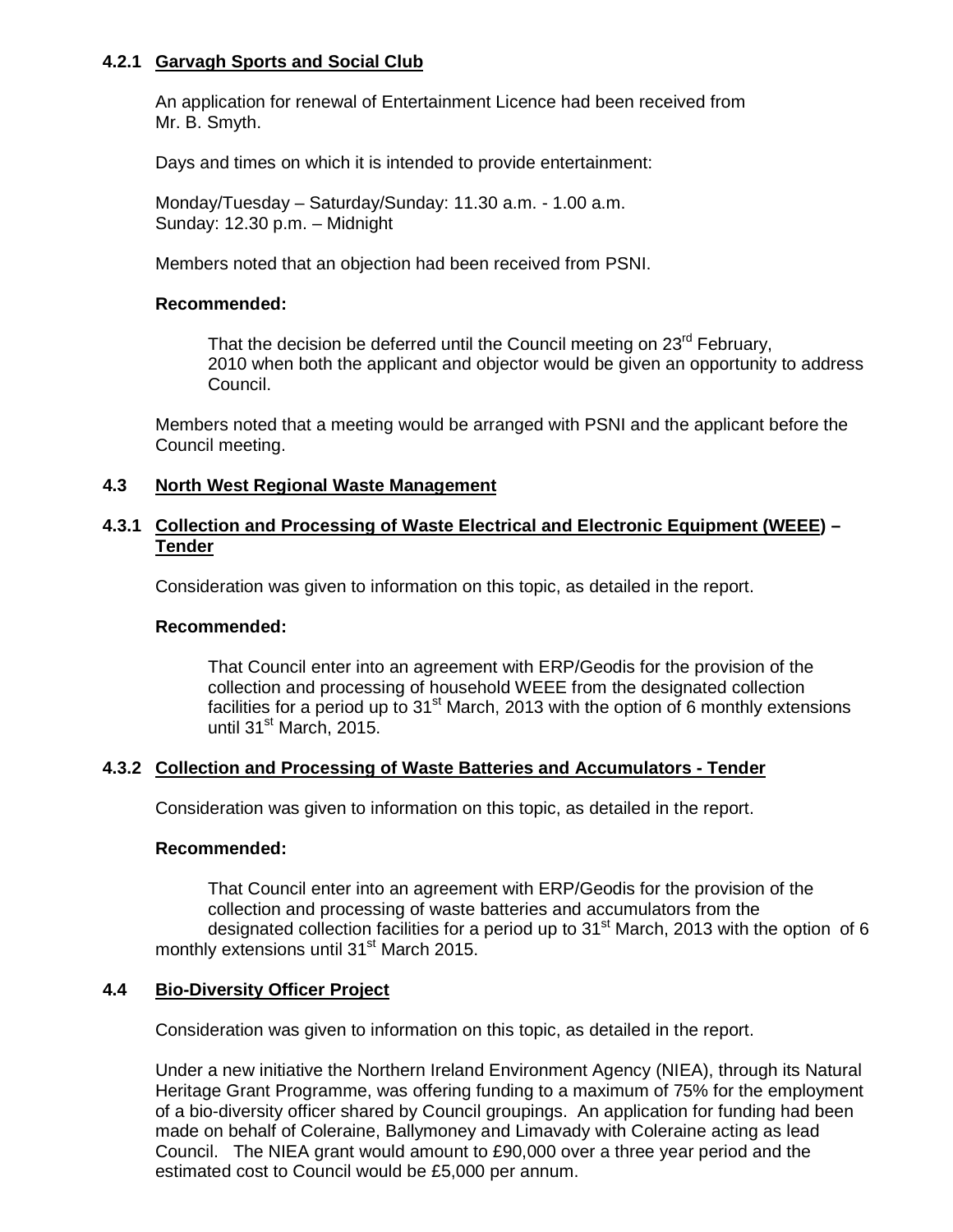#### **4.2.1 Garvagh Sports and Social Club**

 An application for renewal of Entertainment Licence had been received from Mr. B. Smyth.

Days and times on which it is intended to provide entertainment:

 Monday/Tuesday – Saturday/Sunday: 11.30 a.m. - 1.00 a.m. Sunday: 12.30 p.m. – Midnight

Members noted that an objection had been received from PSNI.

#### **Recommended:**

That the decision be deferred until the Council meeting on 23<sup>rd</sup> February, 2010 when both the applicant and objector would be given an opportunity to address Council.

Members noted that a meeting would be arranged with PSNI and the applicant before the Council meeting.

#### **4.3 North West Regional Waste Management**

#### **4.3.1 Collection and Processing of Waste Electrical and Electronic Equipment (WEEE) – Tender**

Consideration was given to information on this topic, as detailed in the report.

#### **Recommended:**

 That Council enter into an agreement with ERP/Geodis for the provision of the collection and processing of household WEEE from the designated collection facilities for a period up to  $31<sup>st</sup>$  March, 2013 with the option of 6 monthly extensions until 31<sup>st</sup> March, 2015.

#### **4.3.2 Collection and Processing of Waste Batteries and Accumulators - Tender**

Consideration was given to information on this topic, as detailed in the report.

#### **Recommended:**

 That Council enter into an agreement with ERP/Geodis for the provision of the collection and processing of waste batteries and accumulators from the designated collection facilities for a period up to  $31<sup>st</sup>$  March, 2013 with the option of 6 monthly extensions until 31<sup>st</sup> March 2015.

#### **4.4 Bio-Diversity Officer Project**

Consideration was given to information on this topic, as detailed in the report.

 Under a new initiative the Northern Ireland Environment Agency (NIEA), through its Natural Heritage Grant Programme, was offering funding to a maximum of 75% for the employment of a bio-diversity officer shared by Council groupings. An application for funding had been made on behalf of Coleraine, Ballymoney and Limavady with Coleraine acting as lead Council. The NIEA grant would amount to £90,000 over a three year period and the estimated cost to Council would be £5,000 per annum.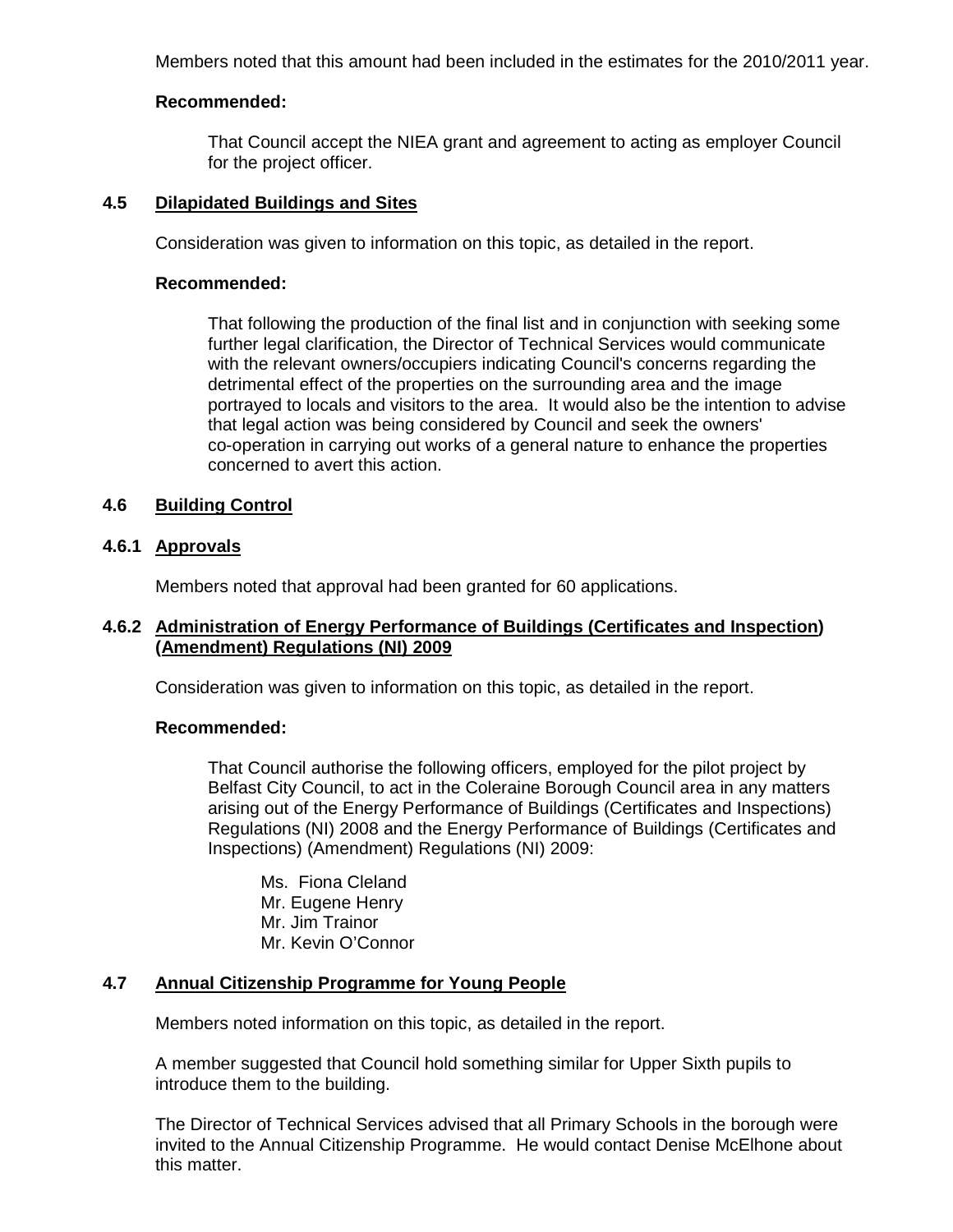Members noted that this amount had been included in the estimates for the 2010/2011 year.

#### **Recommended:**

That Council accept the NIEA grant and agreement to acting as employer Council for the project officer.

#### **4.5 Dilapidated Buildings and Sites**

Consideration was given to information on this topic, as detailed in the report.

#### **Recommended:**

 That following the production of the final list and in conjunction with seeking some further legal clarification, the Director of Technical Services would communicate with the relevant owners/occupiers indicating Council's concerns regarding the detrimental effect of the properties on the surrounding area and the image portrayed to locals and visitors to the area. It would also be the intention to advise that legal action was being considered by Council and seek the owners' co-operation in carrying out works of a general nature to enhance the properties concerned to avert this action.

#### **4.6 Building Control**

#### **4.6.1 Approvals**

Members noted that approval had been granted for 60 applications.

#### **4.6.2 Administration of Energy Performance of Buildings (Certificates and Inspection) (Amendment) Regulations (NI) 2009**

Consideration was given to information on this topic, as detailed in the report.

#### **Recommended:**

 That Council authorise the following officers, employed for the pilot project by Belfast City Council, to act in the Coleraine Borough Council area in any matters arising out of the Energy Performance of Buildings (Certificates and Inspections) Regulations (NI) 2008 and the Energy Performance of Buildings (Certificates and Inspections) (Amendment) Regulations (NI) 2009:

 Ms. Fiona Cleland Mr. Eugene Henry Mr. Jim Trainor Mr. Kevin O'Connor

# **4.7 Annual Citizenship Programme for Young People**

Members noted information on this topic, as detailed in the report.

 A member suggested that Council hold something similar for Upper Sixth pupils to introduce them to the building.

 The Director of Technical Services advised that all Primary Schools in the borough were invited to the Annual Citizenship Programme. He would contact Denise McElhone about this matter.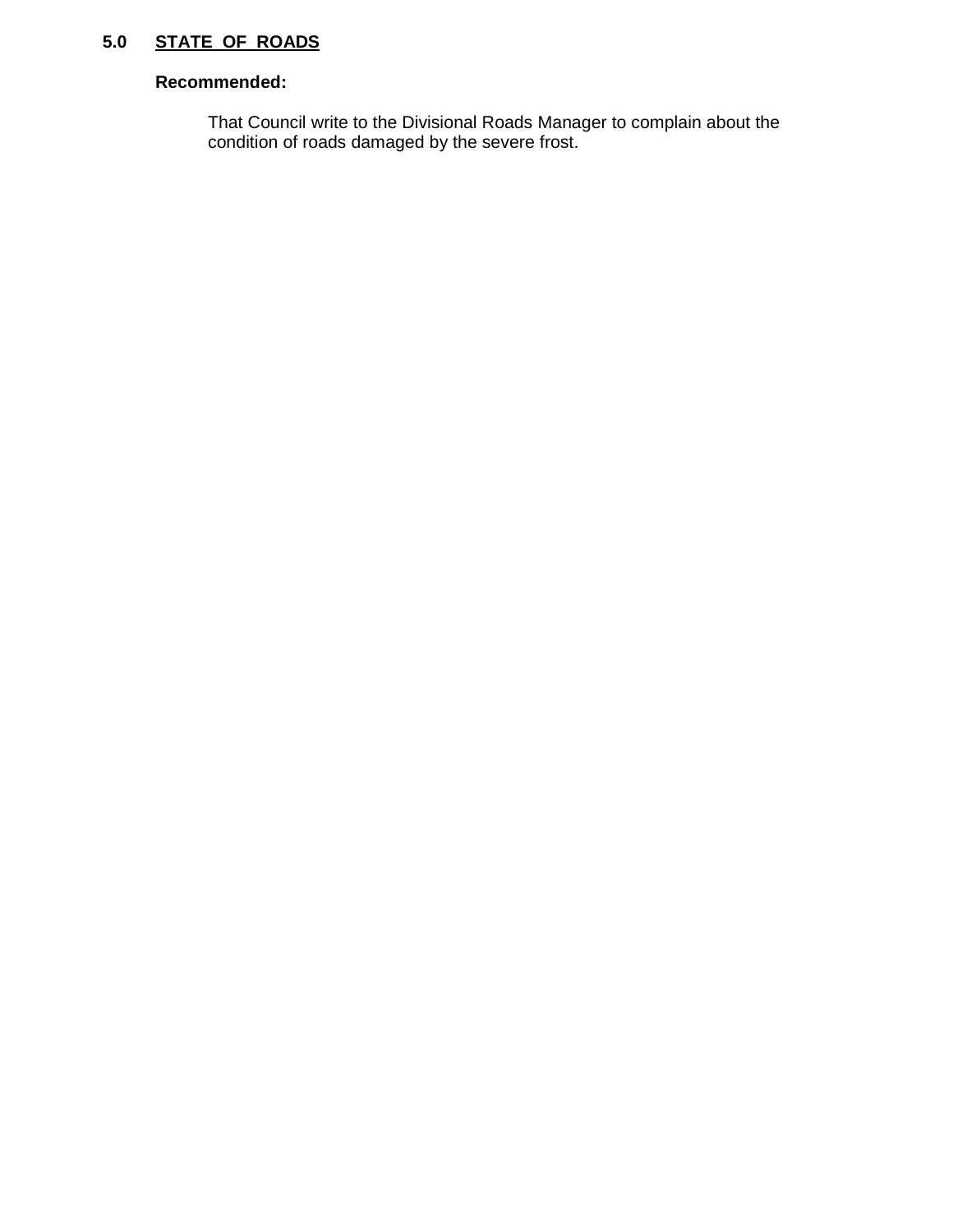# **5.0 STATE OF ROADS**

# **Recommended:**

 That Council write to the Divisional Roads Manager to complain about the condition of roads damaged by the severe frost.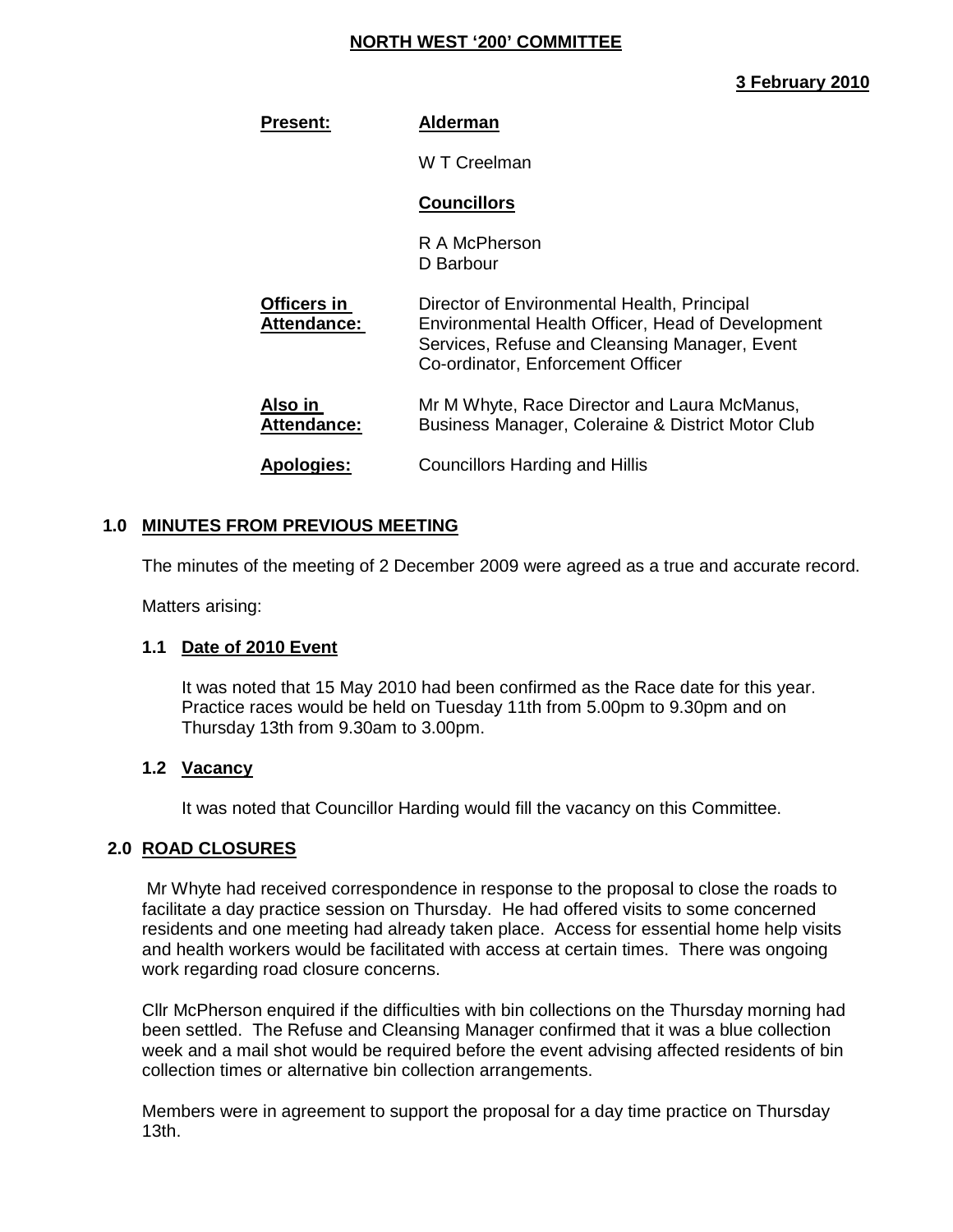#### **NORTH WEST '200' COMMITTEE**

# **3 February 2010**

| <b>Present:</b>                   | <b>Alderman</b>                                                                                                                                                                        |
|-----------------------------------|----------------------------------------------------------------------------------------------------------------------------------------------------------------------------------------|
|                                   | W T Creelman                                                                                                                                                                           |
|                                   | <b>Councillors</b>                                                                                                                                                                     |
|                                   | R A McPherson<br>D Barbour                                                                                                                                                             |
| Officers in<br><b>Attendance:</b> | Director of Environmental Health, Principal<br>Environmental Health Officer, Head of Development<br>Services, Refuse and Cleansing Manager, Event<br>Co-ordinator, Enforcement Officer |
| Also in<br><b>Attendance:</b>     | Mr M Whyte, Race Director and Laura McManus,<br>Business Manager, Coleraine & District Motor Club                                                                                      |
| <b>Apologies:</b>                 | <b>Councillors Harding and Hillis</b>                                                                                                                                                  |

# **1.0 MINUTES FROM PREVIOUS MEETING**

The minutes of the meeting of 2 December 2009 were agreed as a true and accurate record.

Matters arising:

#### **1.1 Date of 2010 Event**

It was noted that 15 May 2010 had been confirmed as the Race date for this year. Practice races would be held on Tuesday 11th from 5.00pm to 9.30pm and on Thursday 13th from 9.30am to 3.00pm.

#### **1.2 Vacancy**

It was noted that Councillor Harding would fill the vacancy on this Committee.

#### **2.0 ROAD CLOSURES**

Mr Whyte had received correspondence in response to the proposal to close the roads to facilitate a day practice session on Thursday. He had offered visits to some concerned residents and one meeting had already taken place. Access for essential home help visits and health workers would be facilitated with access at certain times. There was ongoing work regarding road closure concerns.

 Cllr McPherson enquired if the difficulties with bin collections on the Thursday morning had been settled. The Refuse and Cleansing Manager confirmed that it was a blue collection week and a mail shot would be required before the event advising affected residents of bin collection times or alternative bin collection arrangements.

 Members were in agreement to support the proposal for a day time practice on Thursday 13th.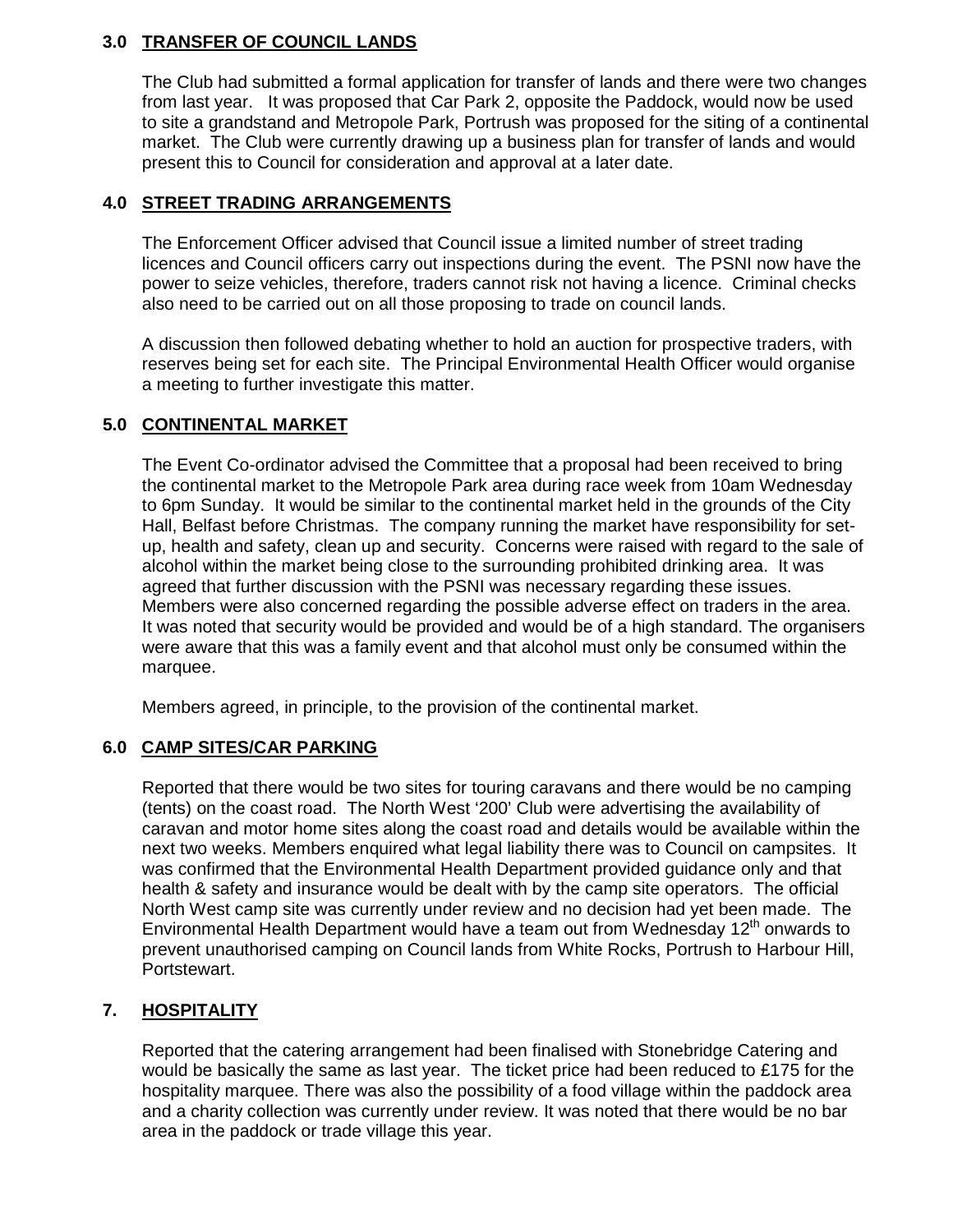# **3.0 TRANSFER OF COUNCIL LANDS**

The Club had submitted a formal application for transfer of lands and there were two changes from last year. It was proposed that Car Park 2, opposite the Paddock, would now be used to site a grandstand and Metropole Park, Portrush was proposed for the siting of a continental market. The Club were currently drawing up a business plan for transfer of lands and would present this to Council for consideration and approval at a later date.

# **4.0 STREET TRADING ARRANGEMENTS**

The Enforcement Officer advised that Council issue a limited number of street trading licences and Council officers carry out inspections during the event. The PSNI now have the power to seize vehicles, therefore, traders cannot risk not having a licence. Criminal checks also need to be carried out on all those proposing to trade on council lands.

 A discussion then followed debating whether to hold an auction for prospective traders, with reserves being set for each site. The Principal Environmental Health Officer would organise a meeting to further investigate this matter.

# **5.0 CONTINENTAL MARKET**

 The Event Co-ordinator advised the Committee that a proposal had been received to bring the continental market to the Metropole Park area during race week from 10am Wednesday to 6pm Sunday. It would be similar to the continental market held in the grounds of the City Hall, Belfast before Christmas. The company running the market have responsibility for setup, health and safety, clean up and security. Concerns were raised with regard to the sale of alcohol within the market being close to the surrounding prohibited drinking area. It was agreed that further discussion with the PSNI was necessary regarding these issues. Members were also concerned regarding the possible adverse effect on traders in the area. It was noted that security would be provided and would be of a high standard. The organisers were aware that this was a family event and that alcohol must only be consumed within the marquee.

Members agreed, in principle, to the provision of the continental market.

#### **6.0 CAMP SITES/CAR PARKING**

Reported that there would be two sites for touring caravans and there would be no camping (tents) on the coast road. The North West '200' Club were advertising the availability of caravan and motor home sites along the coast road and details would be available within the next two weeks. Members enquired what legal liability there was to Council on campsites. It was confirmed that the Environmental Health Department provided guidance only and that health & safety and insurance would be dealt with by the camp site operators. The official North West camp site was currently under review and no decision had yet been made. The Environmental Health Department would have a team out from Wednesday 12<sup>th</sup> onwards to prevent unauthorised camping on Council lands from White Rocks, Portrush to Harbour Hill, Portstewart.

# **7. HOSPITALITY**

Reported that the catering arrangement had been finalised with Stonebridge Catering and would be basically the same as last year. The ticket price had been reduced to £175 for the hospitality marquee. There was also the possibility of a food village within the paddock area and a charity collection was currently under review. It was noted that there would be no bar area in the paddock or trade village this year.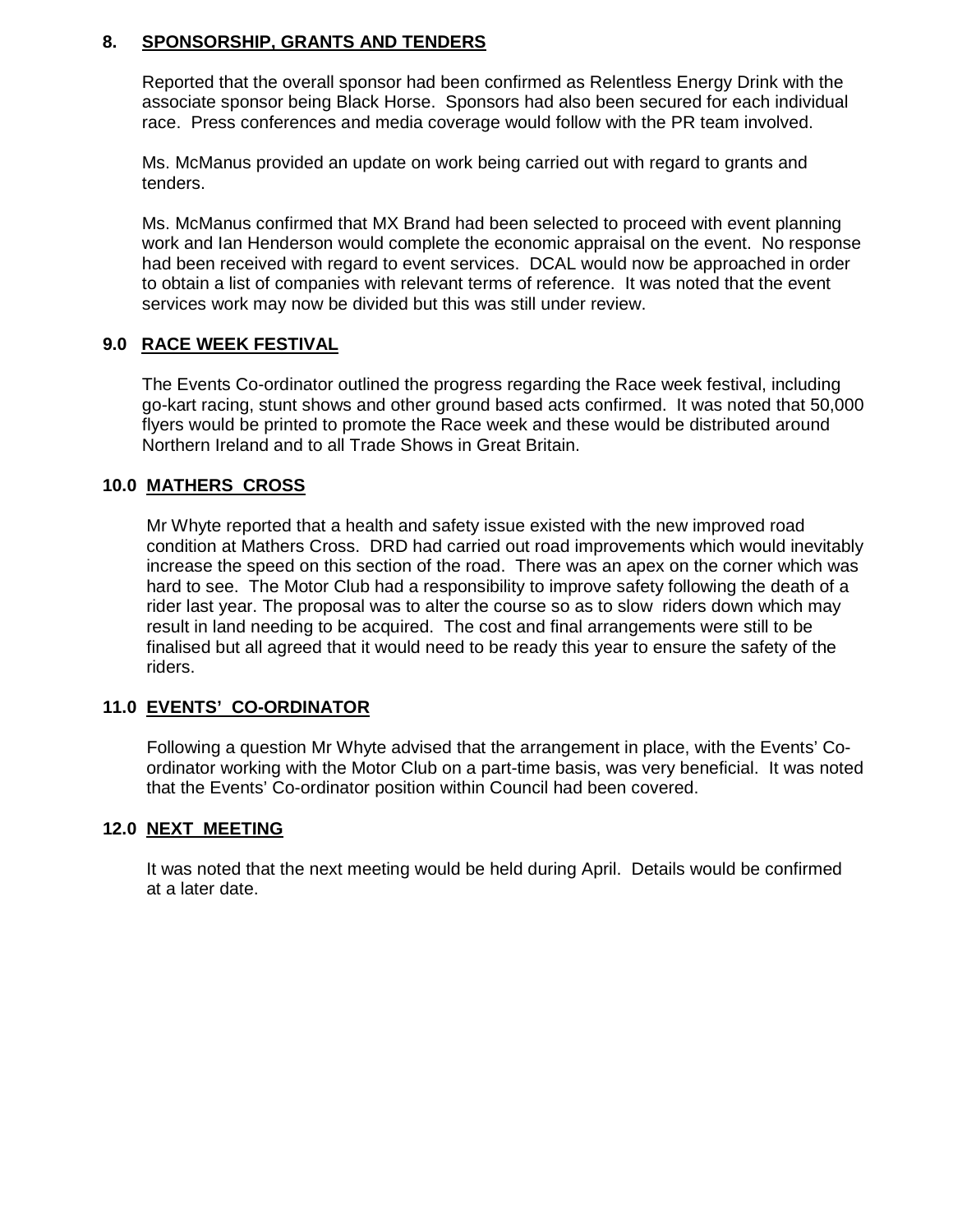# **8. SPONSORSHIP, GRANTS AND TENDERS**

Reported that the overall sponsor had been confirmed as Relentless Energy Drink with the associate sponsor being Black Horse. Sponsors had also been secured for each individual race. Press conferences and media coverage would follow with the PR team involved.

Ms. McManus provided an update on work being carried out with regard to grants and tenders.

Ms. McManus confirmed that MX Brand had been selected to proceed with event planning work and Ian Henderson would complete the economic appraisal on the event. No response had been received with regard to event services. DCAL would now be approached in order to obtain a list of companies with relevant terms of reference. It was noted that the event services work may now be divided but this was still under review.

# **9.0 RACE WEEK FESTIVAL**

The Events Co-ordinator outlined the progress regarding the Race week festival, including go-kart racing, stunt shows and other ground based acts confirmed. It was noted that 50,000 flyers would be printed to promote the Race week and these would be distributed around Northern Ireland and to all Trade Shows in Great Britain.

# **10.0 MATHERS CROSS**

Mr Whyte reported that a health and safety issue existed with the new improved road condition at Mathers Cross. DRD had carried out road improvements which would inevitably increase the speed on this section of the road. There was an apex on the corner which was hard to see. The Motor Club had a responsibility to improve safety following the death of a rider last year. The proposal was to alter the course so as to slow riders down which may result in land needing to be acquired. The cost and final arrangements were still to be finalised but all agreed that it would need to be ready this year to ensure the safety of the riders.

#### **11.0 EVENTS' CO-ORDINATOR**

Following a question Mr Whyte advised that the arrangement in place, with the Events' Coordinator working with the Motor Club on a part-time basis, was very beneficial. It was noted that the Events' Co-ordinator position within Council had been covered.

#### **12.0 NEXT MEETING**

 It was noted that the next meeting would be held during April. Details would be confirmed at a later date.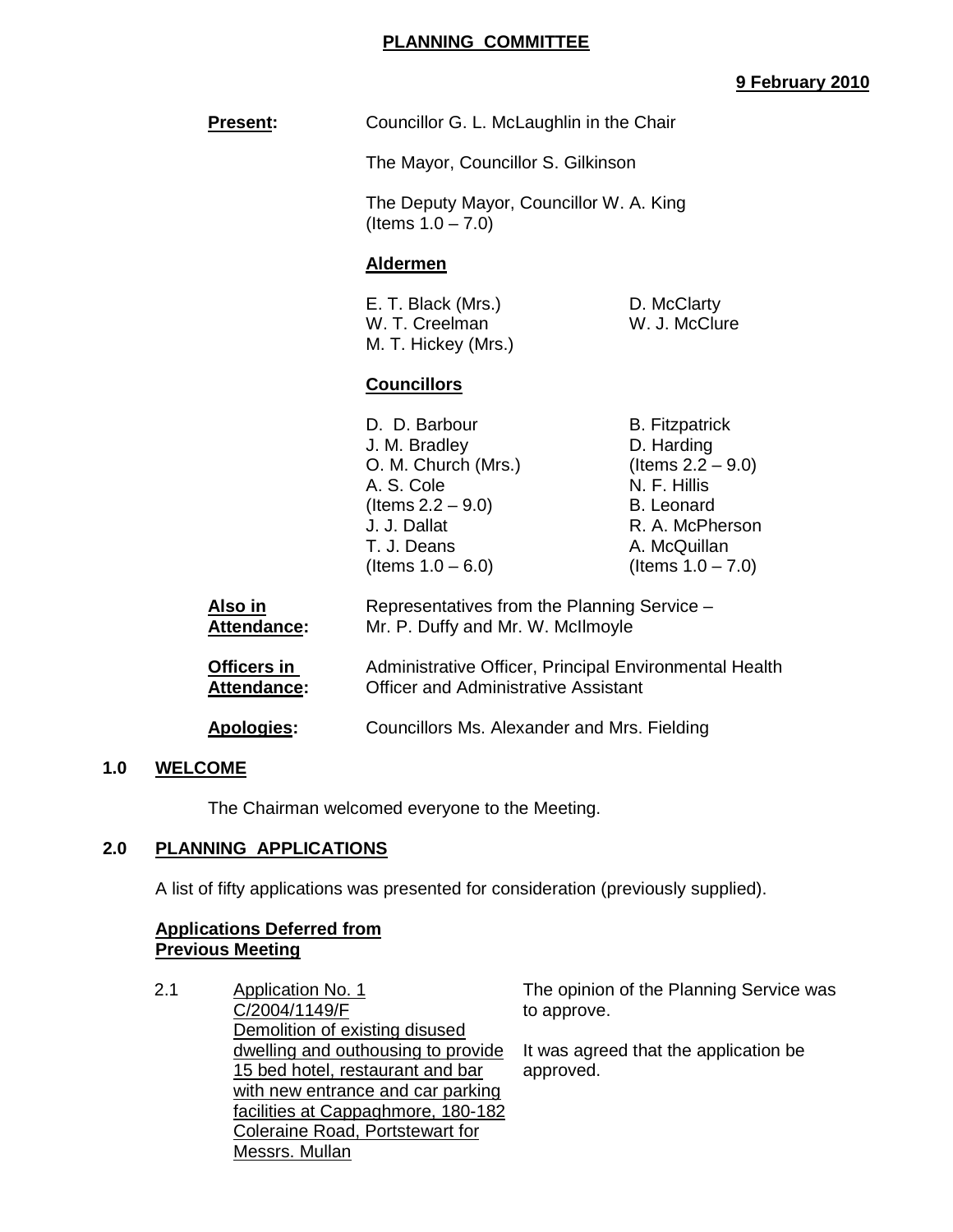### **PLANNING COMMITTEE**

# **9 February 2010**

| <b>Present:</b>               | Councillor G. L. McLaughlin in the Chair                                                                                                           |                                                                                                                                                             |
|-------------------------------|----------------------------------------------------------------------------------------------------------------------------------------------------|-------------------------------------------------------------------------------------------------------------------------------------------------------------|
|                               | The Mayor, Councillor S. Gilkinson                                                                                                                 |                                                                                                                                                             |
|                               | The Deputy Mayor, Councillor W. A. King<br>(Items $1.0 - 7.0$ )                                                                                    |                                                                                                                                                             |
|                               | <b>Aldermen</b>                                                                                                                                    |                                                                                                                                                             |
|                               | E. T. Black (Mrs.)<br>W. T. Creelman<br>M. T. Hickey (Mrs.)                                                                                        | D. McClarty<br>W. J. McClure                                                                                                                                |
|                               | <b>Councillors</b>                                                                                                                                 |                                                                                                                                                             |
|                               | D. D. Barbour<br>J. M. Bradley<br>O. M. Church (Mrs.)<br>A. S. Cole<br>(Items $2.2 - 9.0$ )<br>J. J. Dallat<br>T. J. Deans<br>(Items $1.0 - 6.0$ ) | <b>B.</b> Fitzpatrick<br>D. Harding<br>(Items $2.2 - 9.0$ )<br>N. F. Hillis<br><b>B.</b> Leonard<br>R. A. McPherson<br>A. McQuillan<br>(Items $1.0 - 7.0$ ) |
| Also in<br><b>Attendance:</b> | Representatives from the Planning Service -<br>Mr. P. Duffy and Mr. W. McIlmoyle                                                                   |                                                                                                                                                             |
| Officers in<br>Attendance:    | Administrative Officer, Principal Environmental Health<br><b>Officer and Administrative Assistant</b>                                              |                                                                                                                                                             |
| Apologies:                    | Councillors Ms. Alexander and Mrs. Fielding                                                                                                        |                                                                                                                                                             |

#### **1.0 WELCOME**

The Chairman welcomed everyone to the Meeting.

#### **2.0 PLANNING APPLICATIONS**

A list of fifty applications was presented for consideration (previously supplied).

# **Applications Deferred from Previous Meeting**

2.1 Application No. 1 C/2004/1149/F Demolition of existing disused dwelling and outhousing to provide 15 bed hotel, restaurant and bar with new entrance and car parking facilities at Cappaghmore, 180-182 Coleraine Road, Portstewart for Messrs. Mullan

The opinion of the Planning Service was to approve.

It was agreed that the application be approved.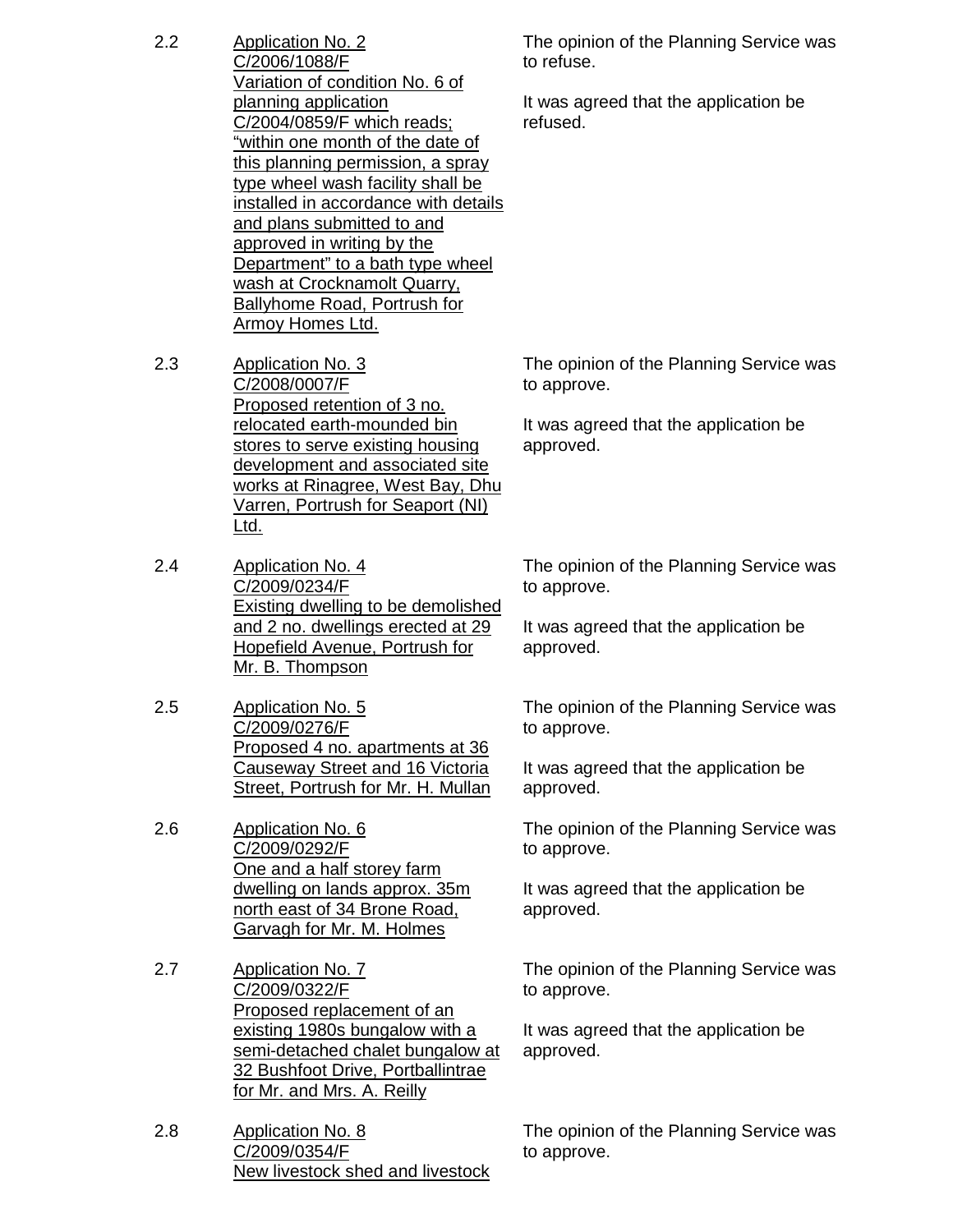- 2.2 Application No. 2 C/2006/1088/F Variation of condition No. 6 of planning application C/2004/0859/F which reads; "within one month of the date of this planning permission, a spray type wheel wash facility shall be installed in accordance with details and plans submitted to and approved in writing by the Department" to a bath type wheel wash at Crocknamolt Quarry, Ballyhome Road, Portrush for Armoy Homes Ltd.
- 2.3 Application No. 3 C/2008/0007/F Proposed retention of 3 no. relocated earth-mounded bin stores to serve existing housing development and associated site works at Rinagree, West Bay, Dhu Varren, Portrush for Seaport (NI) Ltd.
- 2.4 Application No. 4 C/2009/0234/F Existing dwelling to be demolished and 2 no. dwellings erected at 29 Hopefield Avenue, Portrush for Mr. B. Thompson
- 2.5 Application No. 5 C/2009/0276/F Proposed 4 no. apartments at 36 Causeway Street and 16 Victoria Street, Portrush for Mr. H. Mullan
- 2.6 Application No. 6 C/2009/0292/F One and a half storey farm dwelling on lands approx. 35m north east of 34 Brone Road, Garvagh for Mr. M. Holmes
- 2.7 Application No. 7 C/2009/0322/F Proposed replacement of an existing 1980s bungalow with a semi-detached chalet bungalow at 32 Bushfoot Drive, Portballintrae for Mr. and Mrs. A. Reilly
- 2.8 Application No. 8 C/2009/0354/F New livestock shed and livestock

The opinion of the Planning Service was to refuse.

It was agreed that the application be refused.

The opinion of the Planning Service was to approve.

It was agreed that the application be approved.

The opinion of the Planning Service was to approve.

It was agreed that the application be approved.

The opinion of the Planning Service was to approve.

It was agreed that the application be approved.

The opinion of the Planning Service was to approve.

It was agreed that the application be approved.

The opinion of the Planning Service was to approve.

It was agreed that the application be approved.

The opinion of the Planning Service was to approve.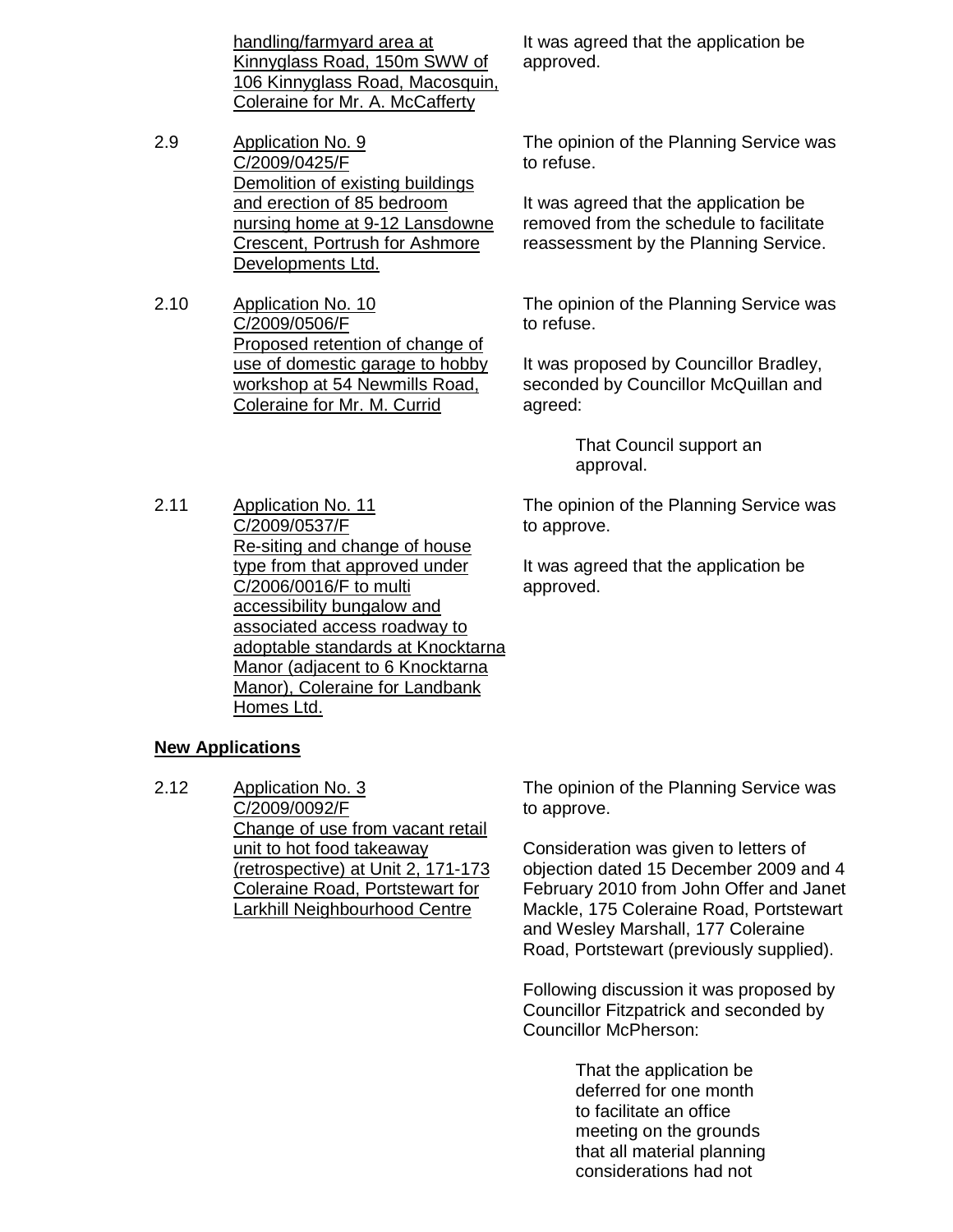handling/farmyard area at Kinnyglass Road, 150m SWW of 106 Kinnyglass Road, Macosquin, Coleraine for Mr. A. McCafferty

- 2.9 Application No. 9 C/2009/0425/F Demolition of existing buildings and erection of 85 bedroom nursing home at 9-12 Lansdowne Crescent, Portrush for Ashmore Developments Ltd.
- 2.10 Application No. 10 C/2009/0506/F Proposed retention of change of use of domestic garage to hobby workshop at 54 Newmills Road, Coleraine for Mr. M. Currid

It was agreed that the application be approved.

The opinion of the Planning Service was to refuse.

It was agreed that the application be removed from the schedule to facilitate reassessment by the Planning Service.

The opinion of the Planning Service was to refuse.

It was proposed by Councillor Bradley, seconded by Councillor McQuillan and agreed:

> That Council support an approval.

The opinion of the Planning Service was to approve. It was agreed that the application be approved.

2.11 Application No. 11 C/2009/0537/F Re-siting and change of house type from that approved under C/2006/0016/F to multi accessibility bungalow and associated access roadway to adoptable standards at Knocktarna Manor (adjacent to 6 Knocktarna Manor), Coleraine for Landbank Homes Ltd.

#### **New Applications**

2.12 Application No. 3 C/2009/0092/F Change of use from vacant retail unit to hot food takeaway (retrospective) at Unit 2, 171-173 Coleraine Road, Portstewart for Larkhill Neighbourhood Centre

The opinion of the Planning Service was to approve.

Consideration was given to letters of objection dated 15 December 2009 and 4 February 2010 from John Offer and Janet Mackle, 175 Coleraine Road, Portstewart and Wesley Marshall, 177 Coleraine Road, Portstewart (previously supplied).

Following discussion it was proposed by Councillor Fitzpatrick and seconded by Councillor McPherson:

> That the application be deferred for one month to facilitate an office meeting on the grounds that all material planning considerations had not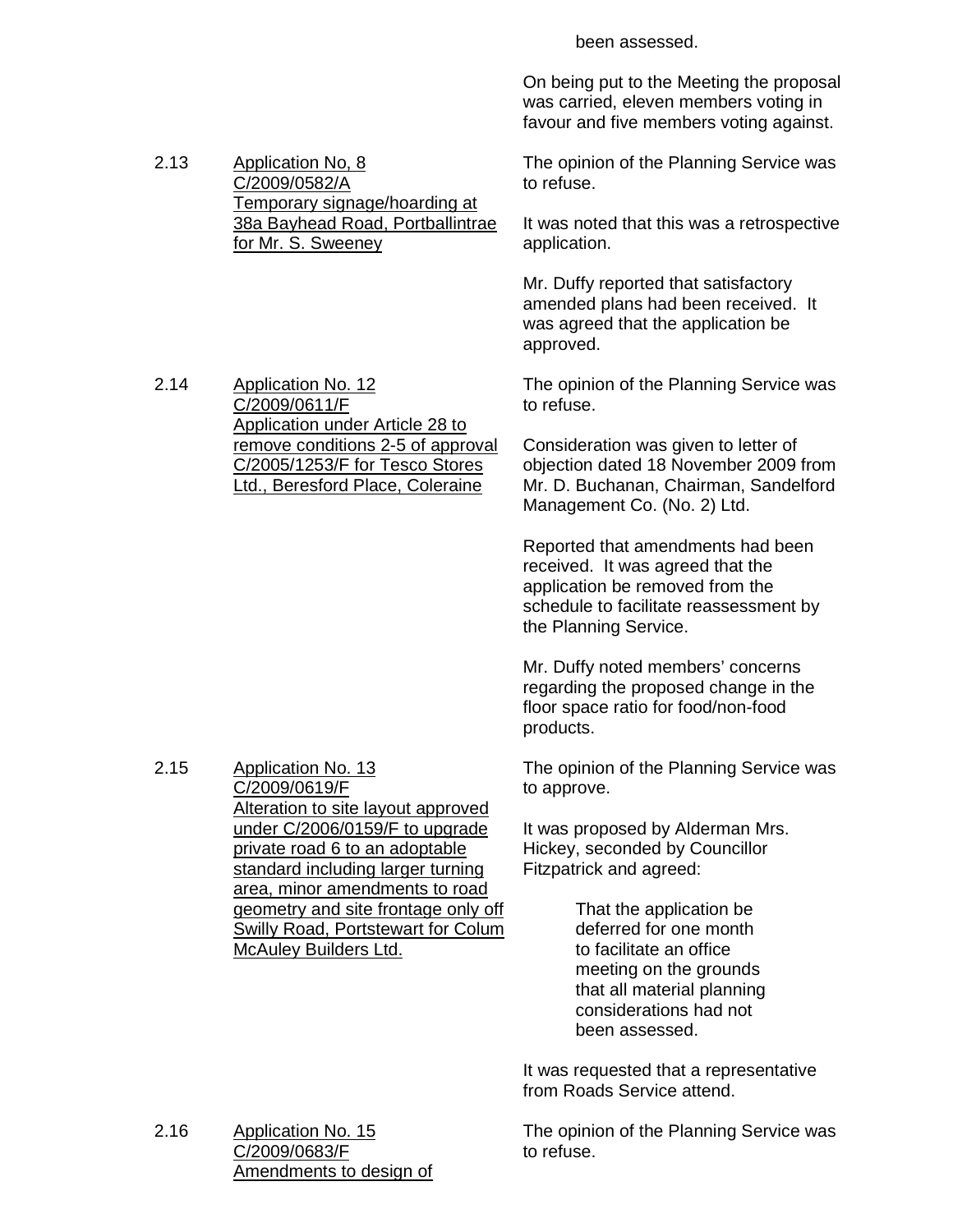On being put to the Meeting the proposal was carried, eleven members voting in favour and five members voting against. 2.13 Application No, 8 C/2009/0582/A Temporary signage/hoarding at 38a Bayhead Road, Portballintrae for Mr. S. Sweeney The opinion of the Planning Service was to refuse. It was noted that this was a retrospective application. Mr. Duffy reported that satisfactory amended plans had been received. It was agreed that the application be approved. 2.14 Application No. 12 C/2009/0611/F Application under Article 28 to remove conditions 2-5 of approval C/2005/1253/F for Tesco Stores Ltd., Beresford Place, Coleraine The opinion of the Planning Service was to refuse. Consideration was given to letter of objection dated 18 November 2009 from Mr. D. Buchanan, Chairman, Sandelford Management Co. (No. 2) Ltd. Reported that amendments had been received. It was agreed that the application be removed from the schedule to facilitate reassessment by the Planning Service. Mr. Duffy noted members' concerns regarding the proposed change in the floor space ratio for food/non-food products. 2.15 Application No. 13 C/2009/0619/F Alteration to site layout approved under C/2006/0159/F to upgrade private road 6 to an adoptable standard including larger turning area, minor amendments to road geometry and site frontage only off Swilly Road, Portstewart for Colum McAuley Builders Ltd. The opinion of the Planning Service was to approve. It was proposed by Alderman Mrs. Hickey, seconded by Councillor Fitzpatrick and agreed: That the application be deferred for one month to facilitate an office meeting on the grounds that all material planning considerations had not been assessed. It was requested that a representative from Roads Service attend.

been assessed.

2.16 Application No. 15 C/2009/0683/F Amendments to design of The opinion of the Planning Service was to refuse.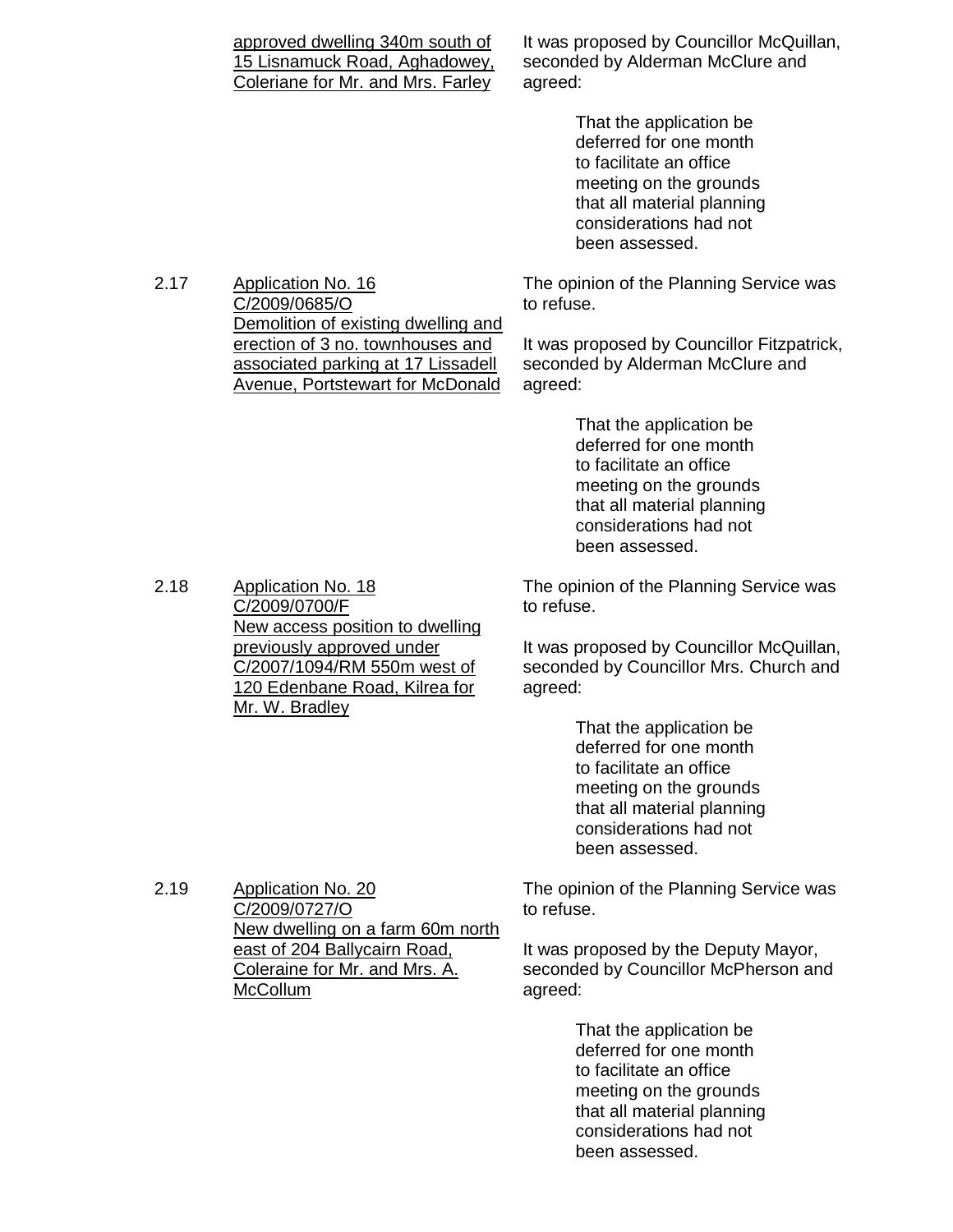|      | approved dwelling 340m south of<br>15 Lisnamuck Road, Aghadowey,<br>Coleriane for Mr. and Mrs. Farley       | It was proposed by Councillor McQuillan,<br>seconded by Alderman McClure and<br>agreed:                                                                                          |
|------|-------------------------------------------------------------------------------------------------------------|----------------------------------------------------------------------------------------------------------------------------------------------------------------------------------|
|      |                                                                                                             | That the application be<br>deferred for one month<br>to facilitate an office<br>meeting on the grounds<br>that all material planning<br>considerations had not<br>been assessed. |
| 2.17 | <b>Application No. 16</b><br>C/2009/0685/O<br>Demolition of existing dwelling and                           | The opinion of the Planning Service was<br>to refuse.                                                                                                                            |
|      | erection of 3 no. townhouses and<br>associated parking at 17 Lissadell<br>Avenue, Portstewart for McDonald  | It was proposed by Councillor Fitzpatrick,<br>seconded by Alderman McClure and<br>agreed:                                                                                        |
|      |                                                                                                             | That the application be<br>deferred for one month<br>to facilitate an office<br>meeting on the grounds<br>that all material planning<br>considerations had not<br>been assessed. |
| 2.18 | <b>Application No. 18</b><br>C/2009/0700/F<br>New access position to dwelling                               | The opinion of the Planning Service was<br>to refuse.                                                                                                                            |
|      | previously approved under<br>C/2007/1094/RM 550m west of<br>120 Edenbane Road, Kilrea for<br>Mr. W. Bradley | It was proposed by Councillor McQuillan,<br>seconded by Councillor Mrs. Church and<br>agreed:                                                                                    |
|      |                                                                                                             | That the application be<br>doforrod for ano month                                                                                                                                |

 deferred for one month to facilitate an office meeting on the grounds that all material planning considerations had not been assessed.

2.19 Application No. 20 C/2009/0727/O New dwelling on a farm 60m north east of 204 Ballycairn Road, Coleraine for Mr. and Mrs. A. McCollum

The opinion of the Planning Service was to refuse.

It was proposed by the Deputy Mayor, seconded by Councillor McPherson and agreed:

> That the application be deferred for one month to facilitate an office meeting on the grounds that all material planning considerations had not been assessed.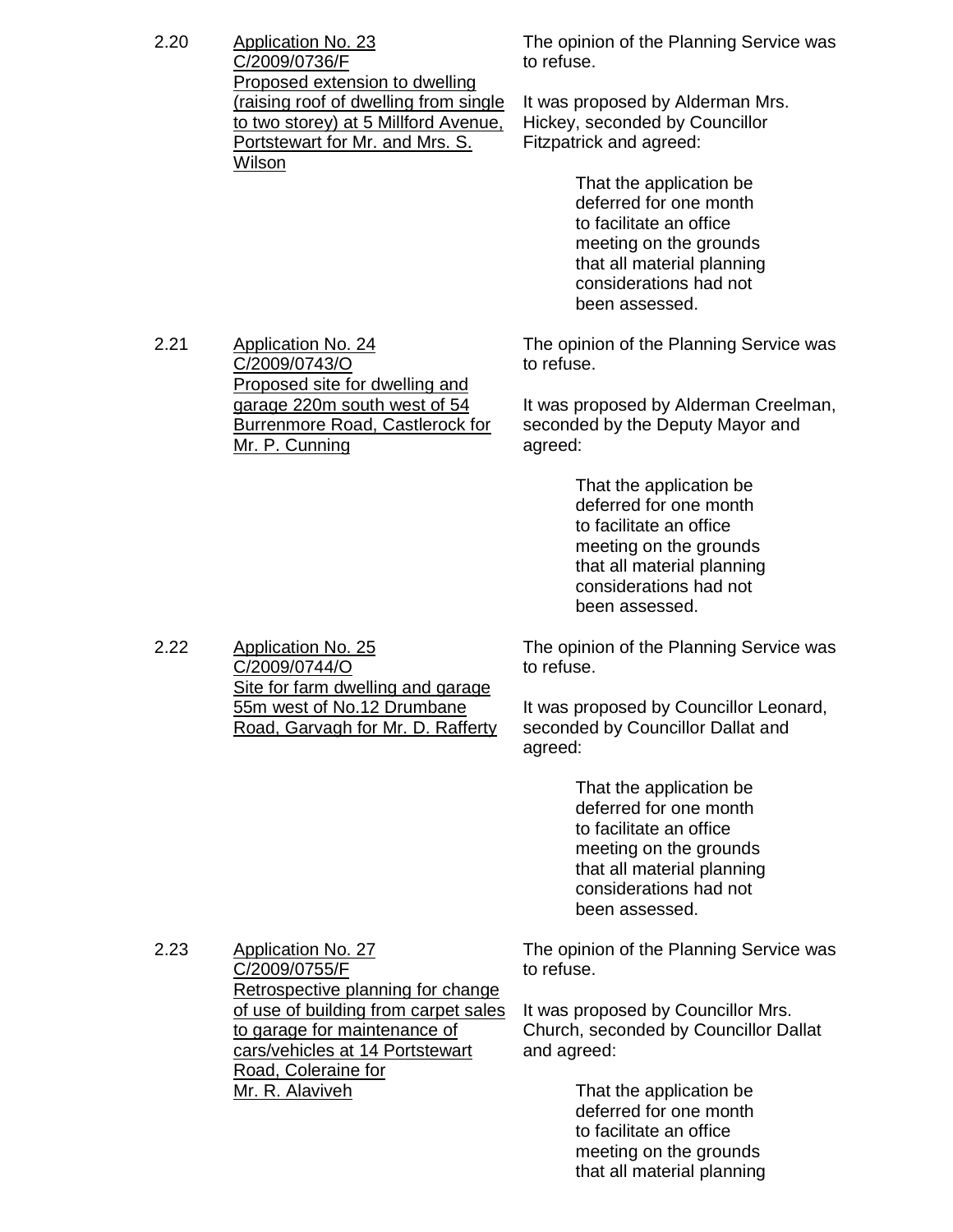| 2.20 | Application No. 23<br>C/2009/0736/F   | The opinion<br>to refuse. |
|------|---------------------------------------|---------------------------|
|      | Proposed extension to dwelling        |                           |
|      | (raising roof of dwelling from single | It was propo              |
|      | to two storey) at 5 Millford Avenue,  | Hickey, sec               |
|      | Portstewart for Mr. and Mrs. S.       | Fitzpatrick a             |
|      | Wilson                                |                           |
|      |                                       | ть^+                      |

of the Planning Service was

osed by Alderman Mrs. onded by Councillor and agreed:

> That the application be deferred for one month to facilitate an office meeting on the grounds that all material planning considerations had not been assessed.

2.21 Application No. 24 C/2009/0743/O Proposed site for dwelling and garage 220m south west of 54 Burrenmore Road, Castlerock for Mr. P. Cunning

2.22 Application No. 25

C/2009/0744/O

Site for farm dwelling and garage 55m west of No.12 Drumbane Road, Garvagh for Mr. D. Rafferty The opinion of the Planning Service was to refuse.

It was proposed by Alderman Creelman, seconded by the Deputy Mayor and agreed:

> That the application be deferred for one month to facilitate an office meeting on the grounds that all material planning considerations had not been assessed.

The opinion of the Planning Service was to refuse.

It was proposed by Councillor Leonard, seconded by Councillor Dallat and agreed:

> That the application be deferred for one month to facilitate an office meeting on the grounds that all material planning considerations had not been assessed.

| 2.23 | Application No. 27                   | The opinion of the Planning Service was                                                                                                                                                                                                                                                                                                                                                                                                                                                   |
|------|--------------------------------------|-------------------------------------------------------------------------------------------------------------------------------------------------------------------------------------------------------------------------------------------------------------------------------------------------------------------------------------------------------------------------------------------------------------------------------------------------------------------------------------------|
|      | C/2009/0755/F                        | to refuse.                                                                                                                                                                                                                                                                                                                                                                                                                                                                                |
|      | Retrospective planning for change    |                                                                                                                                                                                                                                                                                                                                                                                                                                                                                           |
|      | of use of building from carpet sales | It was proposed by Councillor Mrs.                                                                                                                                                                                                                                                                                                                                                                                                                                                        |
|      | to garage for maintenance of         | Church, seconded by Councillor Dallat                                                                                                                                                                                                                                                                                                                                                                                                                                                     |
|      | cars/vehicles at 14 Portstewart      | and agreed:                                                                                                                                                                                                                                                                                                                                                                                                                                                                               |
|      | Road, Coleraine for                  |                                                                                                                                                                                                                                                                                                                                                                                                                                                                                           |
|      | Mr. R. Alaviveh                      | That the application be                                                                                                                                                                                                                                                                                                                                                                                                                                                                   |
|      |                                      | $\blacksquare$ . $\blacksquare$ . $\blacksquare$ . $\blacksquare$ . $\blacksquare$ . $\blacksquare$ . $\blacksquare$ . $\blacksquare$ . $\blacksquare$ . $\blacksquare$ . $\blacksquare$ . $\blacksquare$ . $\blacksquare$ . $\blacksquare$ . $\blacksquare$ . $\blacksquare$ . $\blacksquare$ . $\blacksquare$ . $\blacksquare$ . $\blacksquare$ . $\blacksquare$ . $\blacksquare$ . $\blacksquare$ . $\blacksquare$ . $\blacksquare$ . $\blacksquare$ . $\blacksquare$ . $\blacksquare$ |

 deferred for one month to facilitate an office meeting on the grounds that all material planning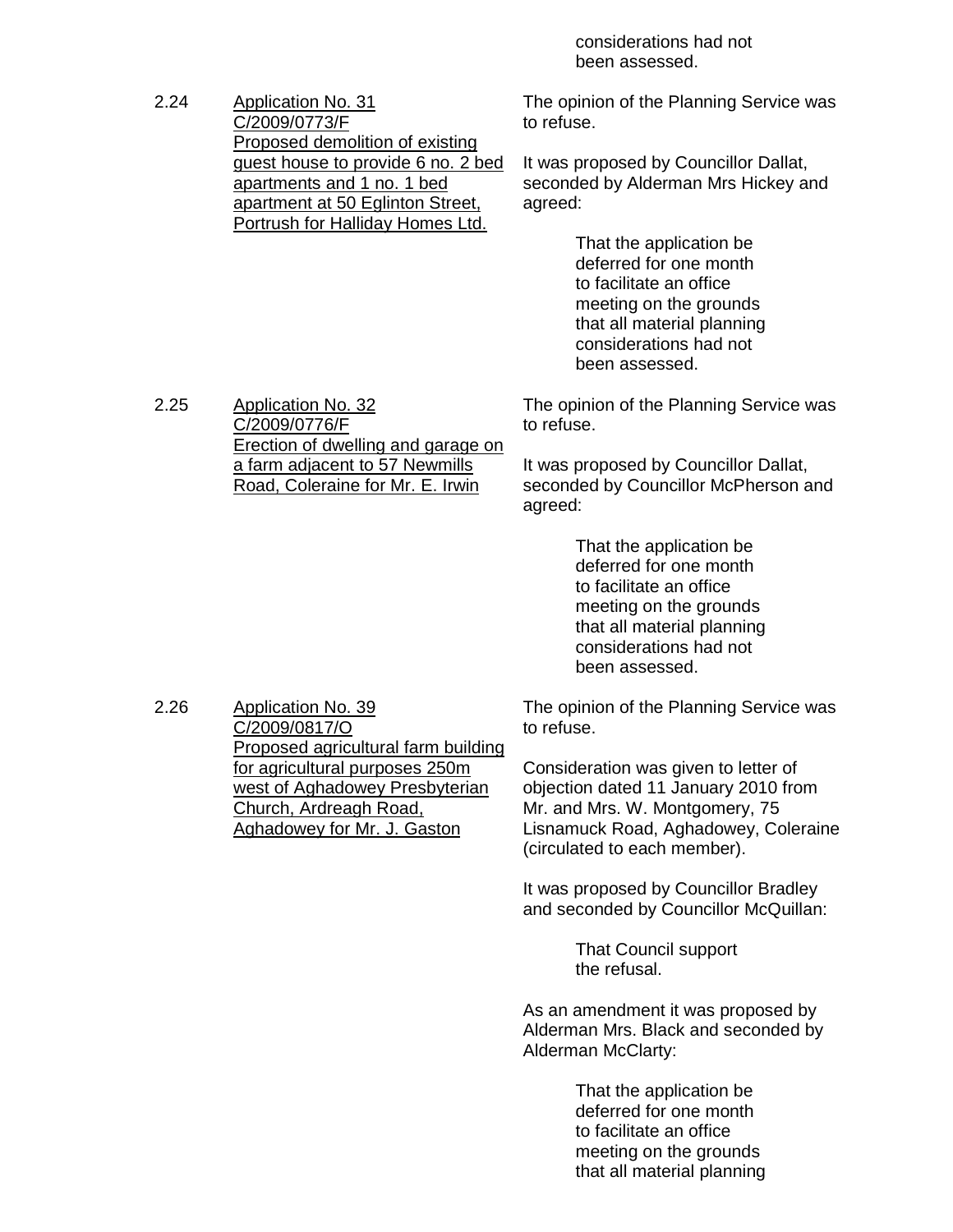considerations had not been assessed.

2.24 Application No. 31 C/2009/0773/F Proposed demolition of existing guest house to provide 6 no. 2 bed apartments and 1 no. 1 bed apartment at 50 Eglinton Street, Portrush for Halliday Homes Ltd. The opinion of the Planning Service was to refuse. It was proposed by Councillor Dallat, seconded by Alderman Mrs Hickey and agreed: That the application be deferred for one month to facilitate an office meeting on the grounds that all material planning considerations had not been assessed. 2.25 Application No. 32 C/2009/0776/F **Erection of dwelling and garage on** a farm adjacent to 57 Newmills Road, Coleraine for Mr. E. Irwin The opinion of the Planning Service was to refuse. It was proposed by Councillor Dallat, seconded by Councillor McPherson and agreed: That the application be deferred for one month to facilitate an office meeting on the grounds that all material planning considerations had not been assessed. 2.26 Application No. 39 C/2009/0817/O Proposed agricultural farm building for agricultural purposes 250m west of Aghadowey Presbyterian Church, Ardreagh Road, Aghadowey for Mr. J. Gaston The opinion of the Planning Service was to refuse. Consideration was given to letter of objection dated 11 January 2010 from Mr. and Mrs. W. Montgomery, 75 Lisnamuck Road, Aghadowey, Coleraine (circulated to each member). It was proposed by Councillor Bradley and seconded by Councillor McQuillan: That Council support the refusal. As an amendment it was proposed by Alderman Mrs. Black and seconded by Alderman McClarty: That the application be deferred for one month to facilitate an office meeting on the grounds that all material planning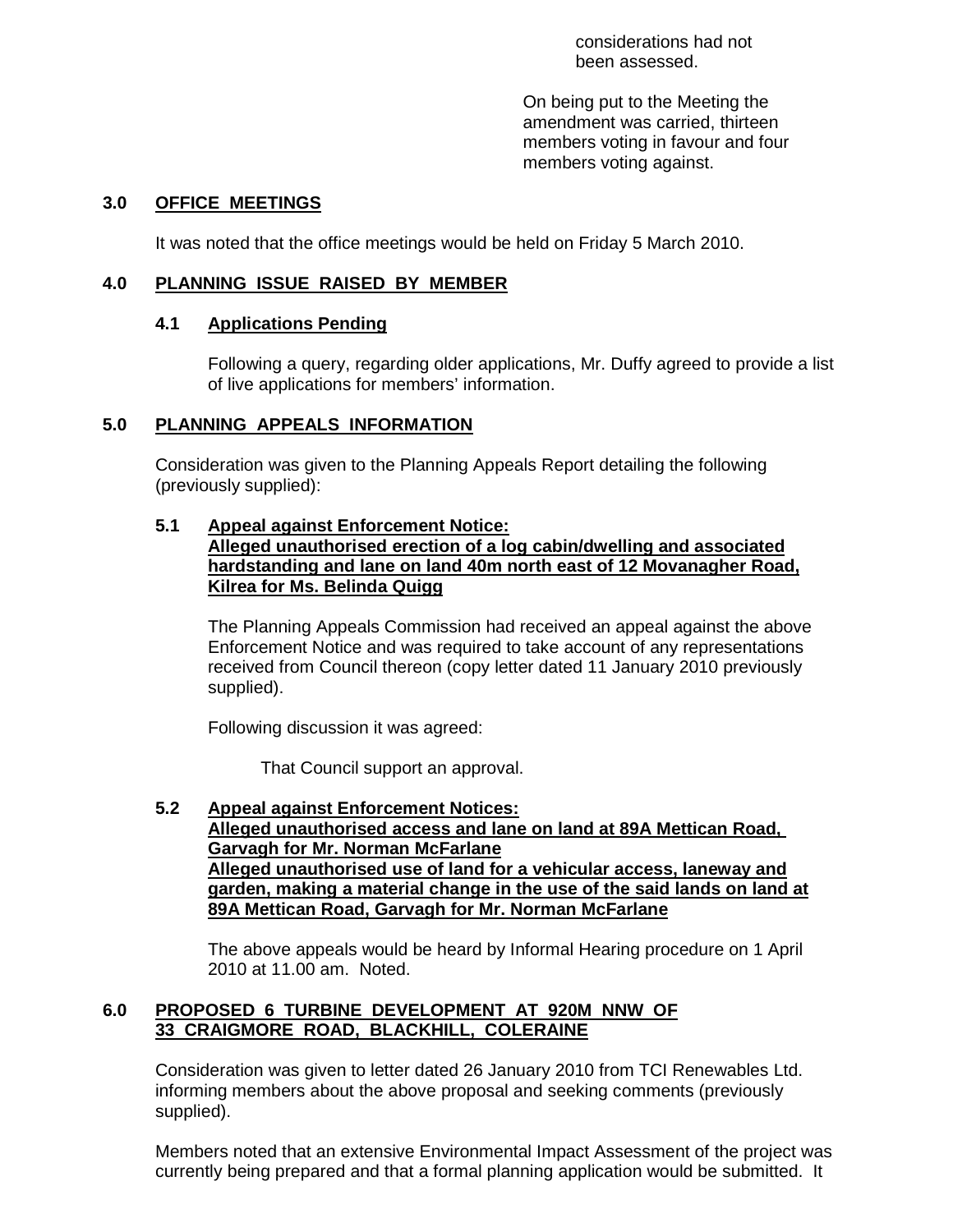considerations had not been assessed.

On being put to the Meeting the amendment was carried, thirteen members voting in favour and four members voting against.

#### **3.0 OFFICE MEETINGS**

It was noted that the office meetings would be held on Friday 5 March 2010.

#### **4.0 PLANNING ISSUE RAISED BY MEMBER**

#### **4.1 Applications Pending**

 Following a query, regarding older applications, Mr. Duffy agreed to provide a list of live applications for members' information.

#### **5.0 PLANNING APPEALS INFORMATION**

 Consideration was given to the Planning Appeals Report detailing the following (previously supplied):

#### **5.1 Appeal against Enforcement Notice:**

 **Alleged unauthorised erection of a log cabin/dwelling and associated hardstanding and lane on land 40m north east of 12 Movanagher Road, Kilrea for Ms. Belinda Quigg**

 The Planning Appeals Commission had received an appeal against the above Enforcement Notice and was required to take account of any representations received from Council thereon (copy letter dated 11 January 2010 previously supplied).

Following discussion it was agreed:

That Council support an approval.

#### **5.2 Appeal against Enforcement Notices: Alleged unauthorised access and lane on land at 89A Mettican Road, Garvagh for Mr. Norman McFarlane Alleged unauthorised use of land for a vehicular access, laneway and garden, making a material change in the use of the said lands on land at 89A Mettican Road, Garvagh for Mr. Norman McFarlane**

 The above appeals would be heard by Informal Hearing procedure on 1 April 2010 at 11.00 am. Noted.

#### **6.0 PROPOSED 6 TURBINE DEVELOPMENT AT 920M NNW OF 33 CRAIGMORE ROAD, BLACKHILL, COLERAINE**

 Consideration was given to letter dated 26 January 2010 from TCI Renewables Ltd. informing members about the above proposal and seeking comments (previously supplied).

 Members noted that an extensive Environmental Impact Assessment of the project was currently being prepared and that a formal planning application would be submitted. It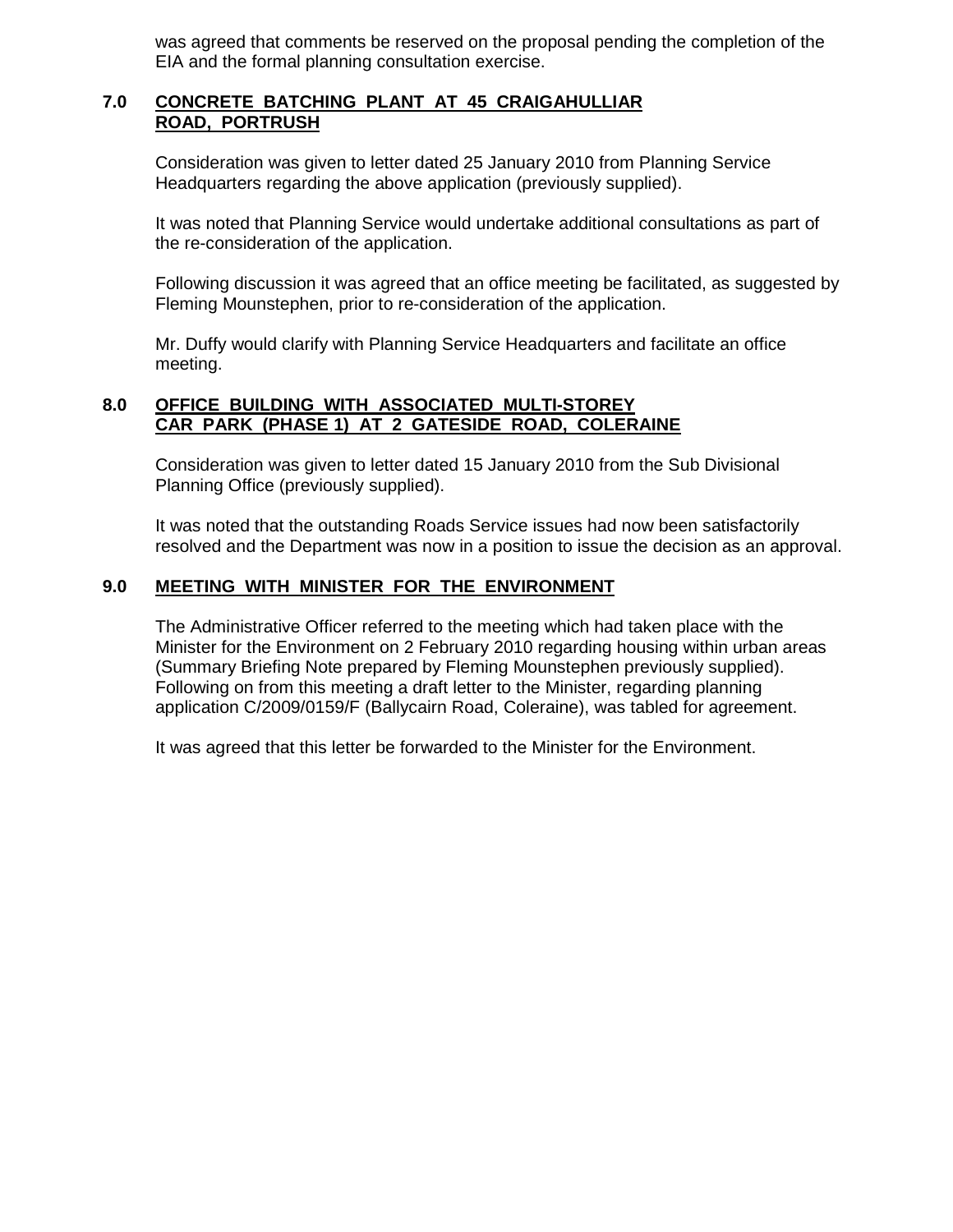was agreed that comments be reserved on the proposal pending the completion of the EIA and the formal planning consultation exercise.

#### **7.0 CONCRETE BATCHING PLANT AT 45 CRAIGAHULLIAR ROAD, PORTRUSH**

 Consideration was given to letter dated 25 January 2010 from Planning Service Headquarters regarding the above application (previously supplied).

 It was noted that Planning Service would undertake additional consultations as part of the re-consideration of the application.

 Following discussion it was agreed that an office meeting be facilitated, as suggested by Fleming Mounstephen, prior to re-consideration of the application.

 Mr. Duffy would clarify with Planning Service Headquarters and facilitate an office meeting.

#### **8.0 OFFICE BUILDING WITH ASSOCIATED MULTI-STOREY CAR PARK (PHASE 1) AT 2 GATESIDE ROAD, COLERAINE**

 Consideration was given to letter dated 15 January 2010 from the Sub Divisional Planning Office (previously supplied).

 It was noted that the outstanding Roads Service issues had now been satisfactorily resolved and the Department was now in a position to issue the decision as an approval.

# **9.0 MEETING WITH MINISTER FOR THE ENVIRONMENT**

The Administrative Officer referred to the meeting which had taken place with the Minister for the Environment on 2 February 2010 regarding housing within urban areas (Summary Briefing Note prepared by Fleming Mounstephen previously supplied). Following on from this meeting a draft letter to the Minister, regarding planning application C/2009/0159/F (Ballycairn Road, Coleraine), was tabled for agreement.

It was agreed that this letter be forwarded to the Minister for the Environment.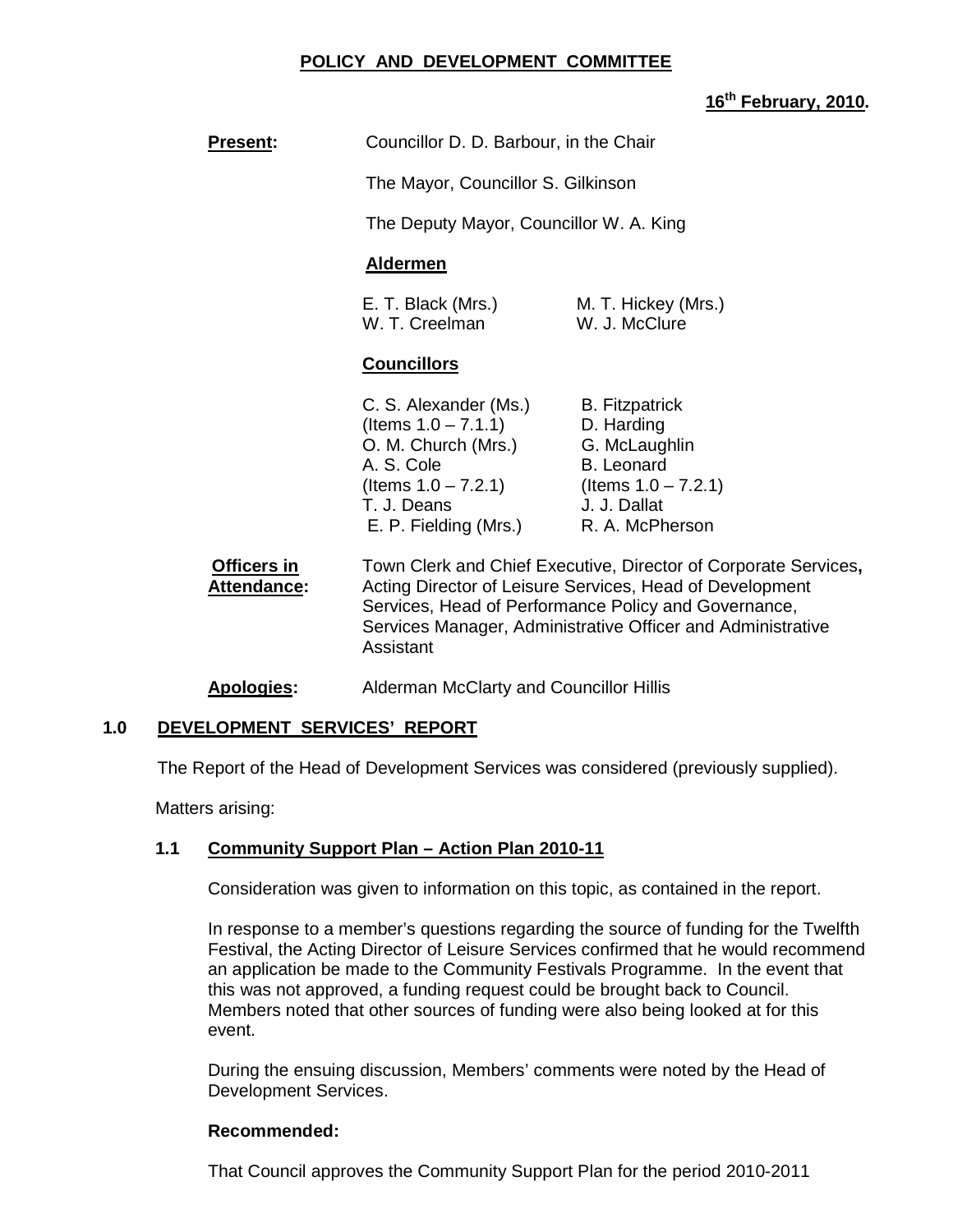#### **POLICY AND DEVELOPMENT COMMITTEE**

# **16th February, 2010.**

| <b>Present:</b>                   | Councillor D. D. Barbour, in the Chair                                                                                                                                                                                                                          |                                                                                                              |  |
|-----------------------------------|-----------------------------------------------------------------------------------------------------------------------------------------------------------------------------------------------------------------------------------------------------------------|--------------------------------------------------------------------------------------------------------------|--|
|                                   | The Mayor, Councillor S. Gilkinson                                                                                                                                                                                                                              |                                                                                                              |  |
|                                   | The Deputy Mayor, Councillor W. A. King<br><b>Aldermen</b>                                                                                                                                                                                                      |                                                                                                              |  |
|                                   |                                                                                                                                                                                                                                                                 |                                                                                                              |  |
|                                   | E. T. Black (Mrs.)<br>W. T. Creelman                                                                                                                                                                                                                            | M. T. Hickey (Mrs.)<br>W. J. McClure                                                                         |  |
|                                   | <b>Councillors</b>                                                                                                                                                                                                                                              |                                                                                                              |  |
|                                   | C. S. Alexander (Ms.)<br>(Items $1.0 - 7.1.1$ )<br>O. M. Church (Mrs.)<br>A. S. Cole<br>(Items $1.0 - 7.2.1$ ) (Items $1.0 - 7.2.1$ )<br>T. J. Deans<br>E. P. Fielding (Mrs.)                                                                                   | <b>B.</b> Fitzpatrick<br>D. Harding<br>G. McLaughlin<br><b>B.</b> Leonard<br>J. J. Dallat<br>R. A. McPherson |  |
| Officers in<br><b>Attendance:</b> | Town Clerk and Chief Executive, Director of Corporate Services,<br>Acting Director of Leisure Services, Head of Development<br>Services, Head of Performance Policy and Governance,<br>Services Manager, Administrative Officer and Administrative<br>Assistant |                                                                                                              |  |
| <b>Apologies:</b>                 | Alderman McClarty and Councillor Hillis                                                                                                                                                                                                                         |                                                                                                              |  |

#### **1.0 DEVELOPMENT SERVICES' REPORT**

The Report of the Head of Development Services was considered (previously supplied).

Matters arising:

#### **1.1 Community Support Plan – Action Plan 2010-11**

Consideration was given to information on this topic, as contained in the report.

In response to a member's questions regarding the source of funding for the Twelfth Festival, the Acting Director of Leisure Services confirmed that he would recommend an application be made to the Community Festivals Programme. In the event that this was not approved, a funding request could be brought back to Council. Members noted that other sources of funding were also being looked at for this event.

During the ensuing discussion, Members' comments were noted by the Head of Development Services.

#### **Recommended:**

That Council approves the Community Support Plan for the period 2010-2011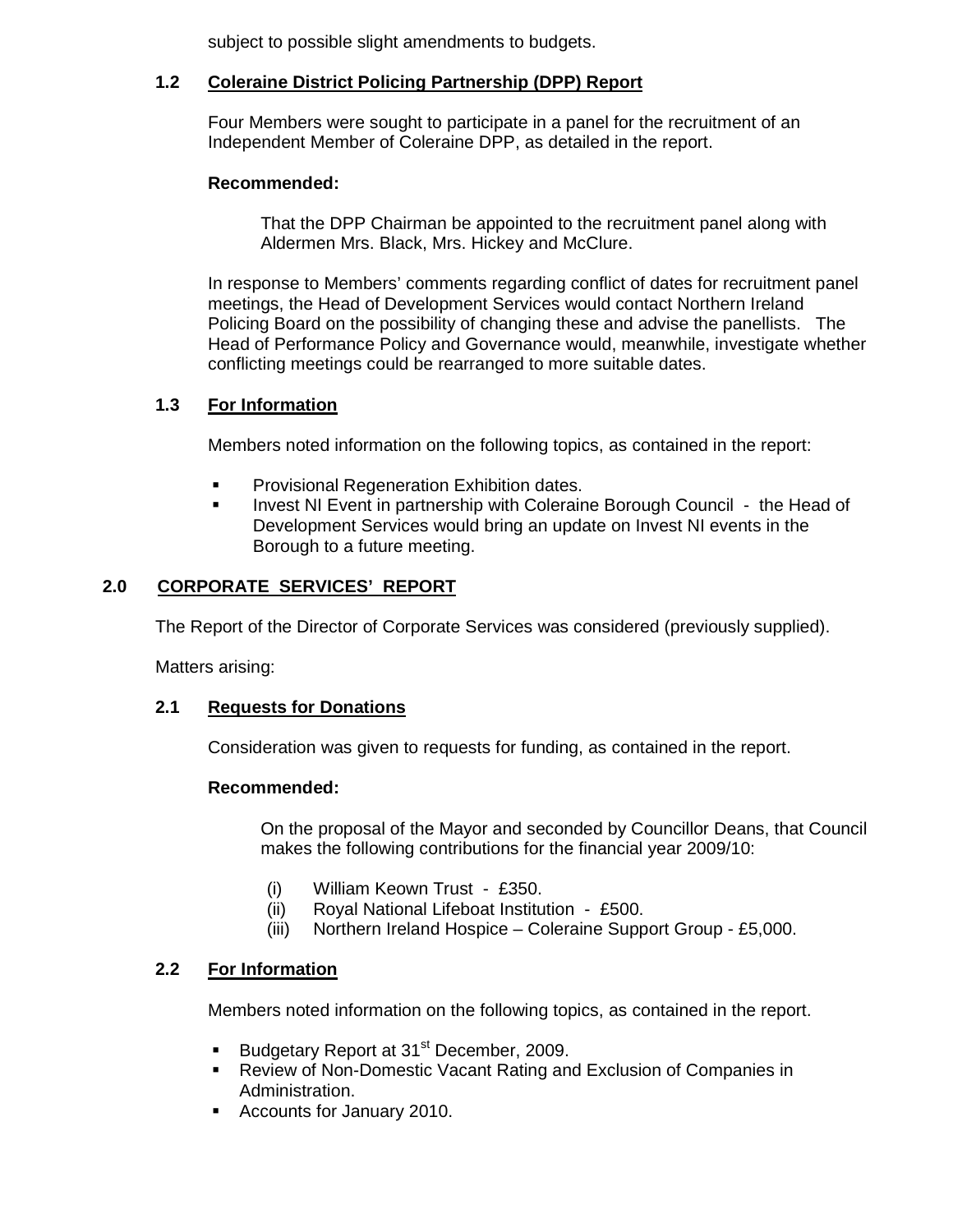subject to possible slight amendments to budgets.

# **1.2 Coleraine District Policing Partnership (DPP) Report**

Four Members were sought to participate in a panel for the recruitment of an Independent Member of Coleraine DPP, as detailed in the report.

# **Recommended:**

That the DPP Chairman be appointed to the recruitment panel along with Aldermen Mrs. Black, Mrs. Hickey and McClure.

In response to Members' comments regarding conflict of dates for recruitment panel meetings, the Head of Development Services would contact Northern Ireland Policing Board on the possibility of changing these and advise the panellists. The Head of Performance Policy and Governance would, meanwhile, investigate whether conflicting meetings could be rearranged to more suitable dates.

# **1.3 For Information**

Members noted information on the following topics, as contained in the report:

- Provisional Regeneration Exhibition dates.
- Invest NI Event in partnership with Coleraine Borough Council the Head of Development Services would bring an update on Invest NI events in the Borough to a future meeting.

# **2.0 CORPORATE SERVICES' REPORT**

The Report of the Director of Corporate Services was considered (previously supplied).

Matters arising:

# **2.1 Requests for Donations**

Consideration was given to requests for funding, as contained in the report.

# **Recommended:**

On the proposal of the Mayor and seconded by Councillor Deans, that Council makes the following contributions for the financial year 2009/10:

- (i) William Keown Trust £350.
- (ii) Royal National Lifeboat Institution £500.
- (iii) Northern Ireland Hospice Coleraine Support Group £5,000.

# **2.2 For Information**

Members noted information on the following topics, as contained in the report.

- Budgetary Report at 31<sup>st</sup> December, 2009.
- Review of Non-Domestic Vacant Rating and Exclusion of Companies in Administration.
- Accounts for January 2010.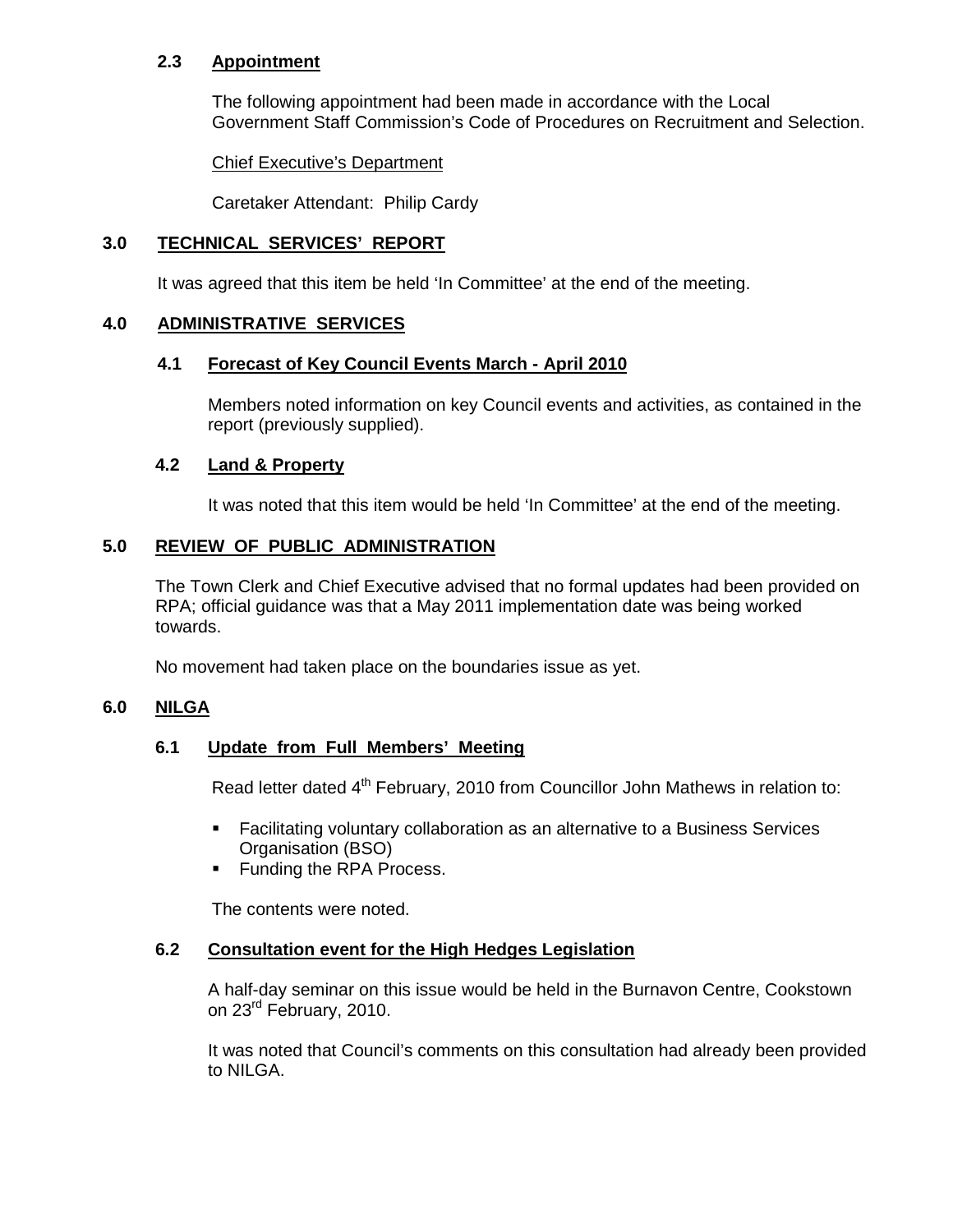# **2.3 Appointment**

The following appointment had been made in accordance with the Local Government Staff Commission's Code of Procedures on Recruitment and Selection.

Chief Executive's Department

Caretaker Attendant: Philip Cardy

#### **3.0 TECHNICAL SERVICES' REPORT**

It was agreed that this item be held 'In Committee' at the end of the meeting.

# **4.0 ADMINISTRATIVE SERVICES**

#### **4.1 Forecast of Key Council Events March - April 2010**

Members noted information on key Council events and activities, as contained in the report (previously supplied).

#### **4.2 Land & Property**

It was noted that this item would be held 'In Committee' at the end of the meeting.

#### **5.0 REVIEW OF PUBLIC ADMINISTRATION**

The Town Clerk and Chief Executive advised that no formal updates had been provided on RPA; official guidance was that a May 2011 implementation date was being worked towards.

No movement had taken place on the boundaries issue as yet.

#### **6.0 NILGA**

#### **6.1 Update from Full Members' Meeting**

Read letter dated 4<sup>th</sup> February, 2010 from Councillor John Mathews in relation to:

- Facilitating voluntary collaboration as an alternative to a Business Services Organisation (BSO)
- Funding the RPA Process.

The contents were noted.

#### **6.2 Consultation event for the High Hedges Legislation**

A half-day seminar on this issue would be held in the Burnavon Centre, Cookstown on 23<sup>rd</sup> February, 2010.

It was noted that Council's comments on this consultation had already been provided to NILGA.